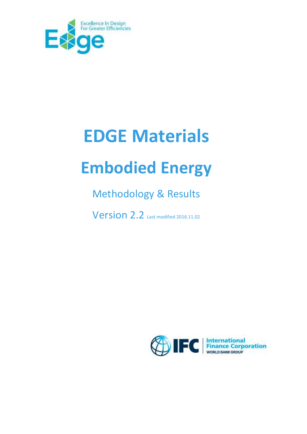

# **EDGE Materials**

# **Embodied Energy**

# Methodology & Results

**Version 2.2** Last modified 2016.11.02

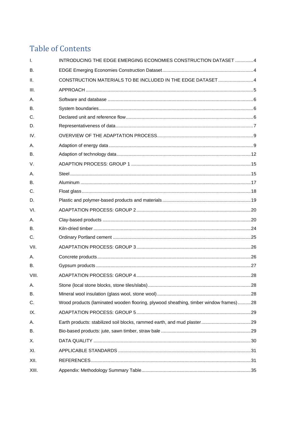# **Table of Contents**

| $\mathbf{I}$ . | INTRODUCING THE EDGE EMERGING ECONOMIES CONSTRUCTION DATASET 4                       |  |
|----------------|--------------------------------------------------------------------------------------|--|
| <b>B.</b>      |                                                                                      |  |
| $\Pi$ .        | CONSTRUCTION MATERIALS TO BE INCLUDED IN THE EDGE DATASET 4                          |  |
| III.           |                                                                                      |  |
| Α.             |                                                                                      |  |
| <b>B.</b>      |                                                                                      |  |
| C.             |                                                                                      |  |
| D.             |                                                                                      |  |
| IV.            |                                                                                      |  |
| Α.             |                                                                                      |  |
| <b>B.</b>      |                                                                                      |  |
| $V_{\cdot}$    |                                                                                      |  |
| Α.             |                                                                                      |  |
| <b>B.</b>      |                                                                                      |  |
| C.             |                                                                                      |  |
| D.             |                                                                                      |  |
| VI.            |                                                                                      |  |
| Α.             |                                                                                      |  |
| <b>B.</b>      |                                                                                      |  |
| C.             |                                                                                      |  |
| VII.           |                                                                                      |  |
| Α.             |                                                                                      |  |
| <b>B.</b>      |                                                                                      |  |
| VIII.          |                                                                                      |  |
| А.             |                                                                                      |  |
| <b>B.</b>      |                                                                                      |  |
| C.             | Wood products (laminated wooden flooring, plywood sheathing, timber window frames)28 |  |
| IX.            |                                                                                      |  |
| А.             |                                                                                      |  |
| В.             |                                                                                      |  |
| Х.             |                                                                                      |  |
| XI.            |                                                                                      |  |
| XII.           |                                                                                      |  |
| XIII.          |                                                                                      |  |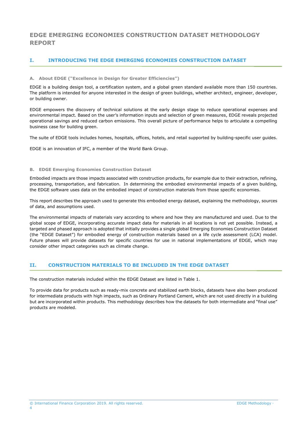# **EDGE EMERGING ECONOMIES CONSTRUCTION DATASET METHODOLOGY REPORT**

# <span id="page-3-0"></span>**I. INTRODUCING THE EDGE EMERGING ECONOMIES CONSTRUCTION DATASET**

#### **A. About EDGE ("Excellence in Design for Greater Efficiencies")**

EDGE is a building design tool, a certification system, and a global green standard available more than 150 countries. The platform is intended for anyone interested in the design of green buildings, whether architect, engineer, developer, or building owner.

EDGE empowers the discovery of technical solutions at the early design stage to reduce operational expenses and environmental impact. Based on the user's information inputs and selection of green measures, EDGE reveals projected operational savings and reduced carbon emissions. This overall picture of performance helps to articulate a compelling business case for building green.

The suite of EDGE tools includes homes, hospitals, offices, hotels, and retail supported by building-specific user guides.

EDGE is an innovation of IFC, a member of the World Bank Group.

#### <span id="page-3-1"></span>**B. EDGE Emerging Economies Construction Dataset**

Embodied impacts are those impacts associated with construction products, for example due to their extraction, refining, processing, transportation, and fabrication. In determining the embodied environmental impacts of a given building, the EDGE software uses data on the embodied impact of construction materials from those specific economies.

This report describes the approach used to generate this embodied energy dataset, explaining the methodology, sources of data, and assumptions used.

The environmental impacts of materials vary according to where and how they are manufactured and used. Due to the global scope of EDGE, incorporating accurate impact data for materials in all locations is not yet possible. Instead, a targeted and phased approach is adopted that initially provides a single global Emerging Economies Construction Dataset (the "EDGE Dataset") for embodied energy of construction materials based on a life cycle assessment (LCA) model. Future phases will provide datasets for specific countries for use in national implementations of EDGE, which may consider other impact categories such as climate change.

# <span id="page-3-2"></span>**II. CONSTRUCTION MATERIALS TO BE INCLUDED IN THE EDGE DATASET**

The construction materials included within the EDGE Dataset are listed in [Table 1.](#page-4-1)

To provide data for products such as ready-mix concrete and stabilized earth blocks, datasets have also been produced for intermediate products with high impacts, such as Ordinary Portland Cement, which are not used directly in a building but are incorporated within products. This methodology describes how the datasets for both intermediate and "final use" products are modeled.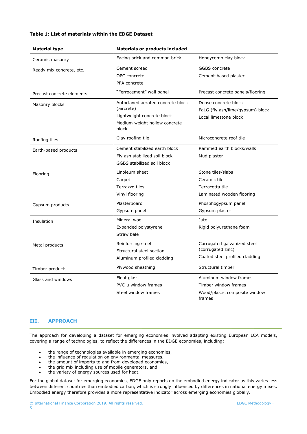# <span id="page-4-1"></span>**Table 1: List of materials within the EDGE Dataset**

| <b>Material type</b>      | <b>Materials or products included</b>                                                                                   |                                                                                           |  |  |  |  |
|---------------------------|-------------------------------------------------------------------------------------------------------------------------|-------------------------------------------------------------------------------------------|--|--|--|--|
| Ceramic masonry           | Facing brick and common brick                                                                                           | Honeycomb clay block                                                                      |  |  |  |  |
| Ready mix concrete, etc.  | Cement screed<br>OPC concrete<br>PFA concrete                                                                           | <b>GGBS</b> concrete<br>Cement-based plaster                                              |  |  |  |  |
| Precast concrete elements | "Ferrocement" wall panel                                                                                                | Precast concrete panels/flooring                                                          |  |  |  |  |
| Masonry blocks            | Autoclaved aerated concrete block<br>(aircrete)<br>Lightweight concrete block<br>Medium weight hollow concrete<br>block | Dense concrete block<br>FaLG (fly ash/lime/gypsum) block<br>Local limestone block         |  |  |  |  |
| Roofing tiles             | Clay roofing tile                                                                                                       | Microconcrete roof tile                                                                   |  |  |  |  |
| Earth-based products      | Cement stabilized earth block<br>Fly ash stabilized soil block<br>GGBS stabilized soil block                            | Rammed earth blocks/walls<br>Mud plaster                                                  |  |  |  |  |
| Flooring                  | Linoleum sheet<br>Carpet<br>Terrazzo tiles<br>Vinyl flooring                                                            | Stone tiles/slabs<br>Ceramic tile<br>Terracotta tile<br>Laminated wooden flooring         |  |  |  |  |
| Gypsum products           | Plasterboard<br>Gypsum panel                                                                                            | Phosphogypsum panel<br>Gypsum plaster                                                     |  |  |  |  |
| Insulation                | Mineral wool<br>Expanded polystyrene<br>Straw bale                                                                      | Jute<br>Rigid polyurethane foam                                                           |  |  |  |  |
| Metal products            | Reinforcing steel<br>Structural steel section<br>Aluminum profiled cladding                                             | Corrugated galvanized steel<br>(corrugated zinc)<br>Coated steel profiled cladding        |  |  |  |  |
| Timber products           | Plywood sheathing                                                                                                       | Structural timber                                                                         |  |  |  |  |
| Glass and windows         | Float glass<br>PVC-u window frames<br>Steel window frames                                                               | Aluminum window frames<br>Timber window frames<br>Wood/plastic composite window<br>frames |  |  |  |  |

# <span id="page-4-0"></span>**III. APPROACH**

The approach for developing a dataset for emerging economies involved adapting existing European LCA models, covering a range of technologies, to reflect the differences in the EDGE economies, including:

- the range of technologies available in emerging economies,
- the influence of regulation on environmental measures,
- the amount of imports to and from developed economies,
- the grid mix including use of mobile generators, and
- the variety of energy sources used for heat.

For the global dataset for emerging economies, EDGE only reports on the embodied energy indicator as this varies less between different countries than embodied carbon, which is strongly influenced by differences in national energy mixes. Embodied energy therefore provides a more representative indicator across emerging economies globally.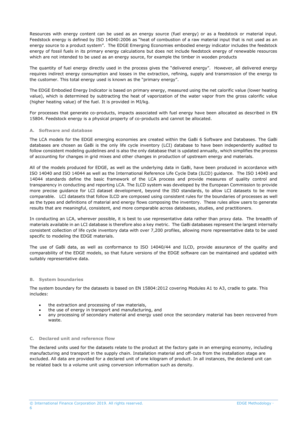Resources with energy content can be used as an energy source (fuel energy) or as a feedstock or material input. Feedstock energy is defined by ISO 14040:2006 as "heat of combustion of a raw material input that is not used as an energy source to a product system". The EDGE Emerging Economies embodied energy indicator includes the feedstock energy of fossil fuels in its primary energy calculations but does not include feedstock energy of renewable resources which are not intended to be used as an energy source, for example the timber in wooden products

The quantity of fuel energy directly used in the process gives the "delivered energy". However, all delivered energy requires indirect energy consumption and losses in the extraction, refining, supply and transmission of the energy to the customer. This total energy used is known as the "primary energy".

The EDGE Embodied Energy Indicator is based on primary energy, measured using the net calorific value (lower heating value), which is determined by subtracting the heat of vaporization of the water vapor from the gross calorific value (higher heating value) of the fuel. It is provided in MJ/kg.

For processes that generate co-products, impacts associated with fuel energy have been allocated as described in EN 15804. Feedstock energy is a physical property of co-products and cannot be allocated.

#### <span id="page-5-0"></span>**A. Software and database**

The LCA models for the EDGE emerging economies are created within the GaBi 6 Software and Databases. The GaBi databases are chosen as GaBi is the only life cycle inventory (LCI) database to have been independently audited to follow consistent modeling guidelines and is also the only database that is updated annually, which simplifies the process of accounting for changes in grid mixes and other changes in production of upstream energy and materials.

All of the models produced for EDGE, as well as the underlying data in GaBi, have been produced in accordance with ISO 14040 and ISO 14044 as well as the International Reference Life Cycle Data (ILCD) guidance. The ISO 14040 and 14044 standards define the basic framework of the LCA process and provide measures of quality control and transparency in conducting and reporting LCA. The ILCD system was developed by the European Commission to provide more precise guidance for LCI dataset development, beyond the ISO standards, to allow LCI datasets to be more comparable. LCI datasets that follow ILCD are composed using consistent rules for the boundaries of processes as well as the types and definitions of material and energy flows composing the inventory. These rules allow users to generate results that are meaningful, consistent, and more comparable across databases, studies, and practitioners.

In conducting an LCA, wherever possible, it is best to use representative data rather than proxy data. The breadth of materials available in an LCI database is therefore also a key metric. The GaBi databases represent the largest internally consistent collection of life cycle inventory data with over 7,200 profiles, allowing more representative data to be used specific to modeling the EDGE materials.

The use of GaBi data, as well as conformance to ISO 14040/44 and ILCD, provide assurance of the quality and comparability of the EDGE models, so that future versions of the EDGE software can be maintained and updated with suitably representative data.

#### <span id="page-5-1"></span>**B. System boundaries**

The system boundary for the datasets is based on EN 15804:2012 covering Modules A1 to A3, cradle to gate. This includes:

- the extraction and processing of raw materials,
- the use of energy in transport and manufacturing, and
- any processing of secondary material and energy used once the secondary material has been recovered from waste.

#### <span id="page-5-2"></span>**C. Declared unit and reference flow**

The declared units used for the datasets relate to the product at the factory gate in an emerging economy, including manufacturing and transport in the supply chain. Installation material and off-cuts from the installation stage are excluded. All data are provided for a declared unit of one kilogram of product. In all instances, the declared unit can be related back to a volume unit using conversion information such as density.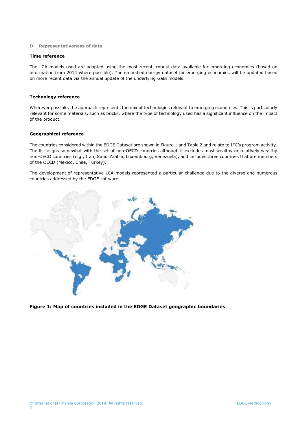#### <span id="page-6-0"></span>**D. Representativeness of data**

#### **Time reference**

The LCA models used are adapted using the most recent, robust data available for emerging economies (based on information from 2014 where possible). The embodied energy dataset for emerging economies will be updated based on more recent data via the annual update of the underlying GaBi models.

#### **Technology reference**

Wherever possible, the approach represents the mix of technologies relevant to emerging economies. This is particularly relevant for some materials, such as bricks, where the type of technology used has a significant influence on the impact of the product.

#### **Geographical reference**

The countries considered within the EDGE Dataset are shown in [Figure 1](#page-6-1) and [Table 2](#page-7-0) and relate to IFC's program activity. The list aligns somewhat with the set of non-OECD countries although it excludes most wealthy or relatively wealthy non-OECD countries (e.g., Iran, Saudi Arabia, Luxembourg, Venezuela), and includes three countries that are members of the OECD (Mexico, Chile, Turkey).

The development of representative LCA models represented a particular challenge due to the diverse and numerous countries addressed by the EDGE software.



<span id="page-6-1"></span>**Figure 1: Map of countries included in the EDGE Dataset geographic boundaries**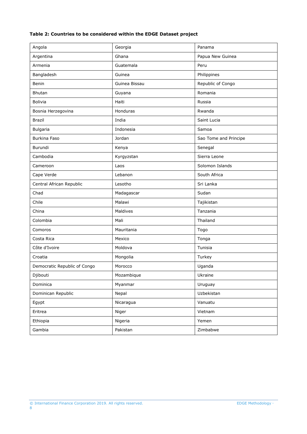# <span id="page-7-0"></span>**Table 2: Countries to be considered within the EDGE Dataset project**

| Angola                       | Georgia       | Panama                |
|------------------------------|---------------|-----------------------|
| Argentina                    | Ghana         | Papua New Guinea      |
| Armenia                      | Guatemala     | Peru                  |
| Bangladesh                   | Guinea        | Philippines           |
| Benin                        | Guinea Bissau | Republic of Congo     |
| Bhutan                       | Guyana        | Romania               |
| <b>Bolivia</b>               | Haiti         | Russia                |
| Bosnia Herzegovina           | Honduras      | Rwanda                |
| <b>Brazil</b>                | India         | Saint Lucia           |
| Bulgaria                     | Indonesia     | Samoa                 |
| <b>Burkina Faso</b>          | Jordan        | Sao Tome and Principe |
| Burundi                      | Kenya         | Senegal               |
| Cambodia                     | Kyrgyzstan    | Sierra Leone          |
| Cameroon                     | Laos          | Solomon Islands       |
| Cape Verde                   | Lebanon       | South Africa          |
| Central African Republic     | Lesotho       | Sri Lanka             |
| Chad                         | Madagascar    | Sudan                 |
| Chile                        | Malawi        | Tajikistan            |
| China                        | Maldives      | Tanzania              |
| Colombia                     | Mali          | Thailand              |
| Comoros                      | Mauritania    | Togo                  |
| Costa Rica                   | Mexico        | Tonga                 |
| Côte d'Ivoire                | Moldova       | Tunisia               |
| Croatia                      | Mongolia      | Turkey                |
| Democratic Republic of Congo | Morocco       | Uganda                |
| Djibouti                     | Mozambique    | Ukraine               |
| Dominica                     | Myanmar       | Uruguay               |
| Dominican Republic           | Nepal         | Uzbekistan            |
| Egypt                        | Nicaragua     | Vanuatu               |
| Eritrea                      | Niger         | Vietnam               |
| Ethiopia                     | Nigeria       | Yemen                 |
| Gambia                       | Pakistan      | Zimbabwe              |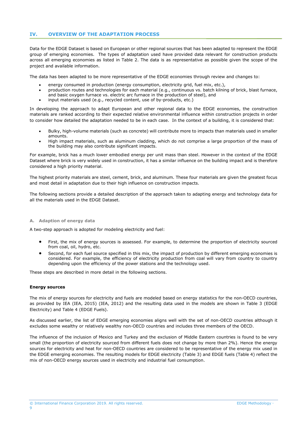# <span id="page-8-0"></span>**IV. OVERVIEW OF THE ADAPTATION PROCESS**

Data for the EDGE Dataset is based on European or other regional sources that has been adapted to represent the EDGE group of emerging economies. The types of adaptation used have provided data relevant for construction products across all emerging economies as listed in [Table 2.](#page-7-0) The data is as representative as possible given the scope of the project and available information.

The data has been adapted to be more representative of the EDGE economies through review and changes to:

- energy consumed in production (energy consumption, electricity grid, fuel mix, etc.),
- production routes and technologies for each material (e.g., continuous vs. batch kilning of brick, blast furnace, and basic oxygen furnace vs. electric arc furnace in the production of steel), and
- input materials used (e.g., recycled content, use of by-products, etc.)

In developing the approach to adapt European and other regional data to the EDGE economies, the construction materials are ranked according to their expected relative environmental influence within construction projects in order to consider how detailed the adaptation needed to be in each case. In the context of a building, it is considered that:

- Bulky, high-volume materials (such as concrete) will contribute more to impacts than materials used in smaller amounts.
- High impact materials, such as aluminum cladding, which do not comprise a large proportion of the mass of the building may also contribute significant impacts.

For example, brick has a much lower embodied energy per unit mass than steel. However in the context of the EDGE Dataset where brick is very widely used in construction, it has a similar influence on the building impact and is therefore considered a high priority material.

The highest priority materials are steel, cement, brick, and aluminum. These four materials are given the greatest focus and most detail in adaptation due to their high influence on construction impacts.

The following sections provide a detailed description of the approach taken to adapting energy and technology data for all the materials used in the EDGE Dataset.

#### <span id="page-8-1"></span>**A. Adaption of energy data**

A two-step approach is adopted for modeling electricity and fuel:

- First, the mix of energy sources is assessed. For example, to determine the proportion of electricity sourced from coal, oil, hydro, etc.
- Second, for each fuel source specified in this mix, the impact of production by different emerging economies is considered. For example, the efficiency of electricity production from coal will vary from country to country depending upon the efficiency of the power stations and the technology used.

These steps are described in more detail in the following sections.

#### **Energy sources**

The mix of energy sources for electricity and fuels are modeled based on energy statistics for the non-OECD countries, as provided by IEA (IEA, 2015) (IEA, 2012) and the resulting data used in the models are shown in [Table 3](#page-9-0) (EDGE Electricity) and [Table 4](#page-9-1) (EDGE Fuels).

As discussed earlier, the list of EDGE emerging economies aligns well with the set of non-OECD countries although it excludes some wealthy or relatively wealthy non-OECD countries and includes three members of the OECD.

The influence of the inclusion of Mexico and Turkey and the exclusion of Middle Eastern countries is found to be very small (the proportion of electricity sourced from different fuels does not change by more than 2%). Hence the energy sources for electricity and heat for non-OECD countries are considered to be representative of the energy mix used in the EDGE emerging economies. The resulting models for EDGE electricity (Table 3) and EDGE fuels [\(Table 4\)](#page-9-1) reflect the mix of non-OECD energy sources used in electricity and industrial fuel consumption.

© International Finance Corporation 2019. All rights reserved. EDGE Methodology 9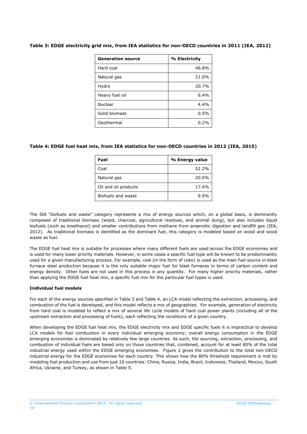| <b>Generation source</b> | % Electricity |
|--------------------------|---------------|
| Hard coal                | 46.8%         |
| Natural gas              | 21.0%         |
| Hydro                    | 20.7%         |
| Heavy fuel oil           | 6.4%          |
| Nuclear                  | 4.4%          |
| Solid biomass            | 0.5%          |
| Geothermal               | $0.2\%$       |

# <span id="page-9-0"></span>**Table 3: EDGE electricity grid mix, from IEA statistics for non-OECD countries in 2011 (IEA, 2012)**

# <span id="page-9-1"></span>**Table 4: EDGE fuel heat mix, from IEA statistics for non-OECD countries in 2012 (IEA, 2015)**

| Fuel                 | % Energy value |
|----------------------|----------------|
| Coal                 | 52.2%          |
| Natural gas          | 20.5%          |
| Oil and oil products | 17.4%          |
| Biofuels and waste   | 9.9%           |

The IEA "biofuels and waste" category represents a mix of energy sources which, on a global basis, is dominantly composed of traditional biomass (wood, charcoal, agricultural residues, and animal dung), but also includes liquid biofuels (such as bioethanol) and smaller contributions from methane from anaerobic digestion and landfill gas (IEA, 2012). As traditional biomass is identified as the dominant fuel, this category is modeled based on wood and wood waste as fuel.

The EDGE fuel heat mix is suitable for processes where many different fuels are used across the EDGE economies and is used for many lower priority materials. However, in some cases a specific fuel type will be known to be predominantly used for a given manufacturing process. For example, coal (in the form of coke) is used as the main fuel source in blast furnace steel production because it is the only suitable major fuel for blast furnaces in terms of carbon content and energy density. Other fuels are not used in this process in any quantity. For many higher priority materials, rather than applying the EDGE fuel heat mix, a specific fuel mix for the particular fuel types is used.

# **Individual fuel models**

For each of the energy sources specified in Table 3 an[d Table 4,](#page-9-1) an LCA model reflecting the extraction, processing, and combustion of the fuel is developed, and this model reflects a mix of geographies. For example, generation of electricity from hard coal is modeled to reflect a mix of several life cycle models of hard coal power plants (including all of the upstream extraction and processing of fuels), each reflecting the conditions of a given country.

When developing the EDGE fuel heat mix, the EDGE electricity mix and EDGE specific fuels it is impractical to develop LCA models for fuel combustion in every individual emerging economy; overall energy consumption in the EDGE emerging economies is dominated by relatively few large countries. As such, the sourcing, extraction, processing, and combustion of individual fuels are based only on those countries that, combined, account for at least 80% of the total industrial energy used within the EDGE emerging economies. [Figure 2](#page-10-0) gives the contribution to the total non-OECD industrial energy for the EDGE economies for each country. This shows how the 80% threshold requirement is met by modeling fuel production and use from just 10 countries: China, Russia, India, Brazil, Indonesia, Thailand, Mexico, South Africa, Ukraine, and Turkey, as shown in [Table](#page-10-1) 5.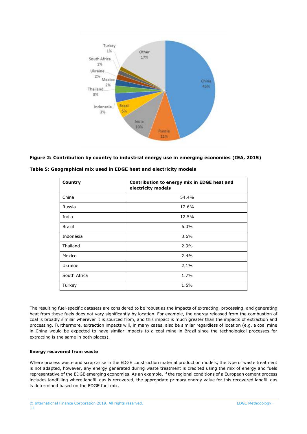

# <span id="page-10-0"></span>**Figure 2: Contribution by country to industrial energy use in emerging economies (IEA, 2015)**

| Country       | Contribution to energy mix in EDGE heat and<br>electricity models |
|---------------|-------------------------------------------------------------------|
| China         | 54.4%                                                             |
| Russia        | 12.6%                                                             |
| India         | 12.5%                                                             |
| <b>Brazil</b> | 6.3%                                                              |
| Indonesia     | 3.6%                                                              |
| Thailand      | 2.9%                                                              |
| Mexico        | 2.4%                                                              |
| Ukraine       | 2.1%                                                              |
| South Africa  | 1.7%                                                              |
| Turkey        | 1.5%                                                              |

<span id="page-10-1"></span>**Table 5: Geographical mix used in EDGE heat and electricity models** 

The resulting fuel-specific datasets are considered to be robust as the impacts of extracting, processing, and generating heat from these fuels does not vary significantly by location. For example, the energy released from the combustion of coal is broadly similar wherever it is sourced from, and this impact is much greater than the impacts of extraction and processing. Furthermore, extraction impacts will, in many cases, also be similar regardless of location (e.g. a coal mine in China would be expected to have similar impacts to a coal mine in Brazil since the technological processes for extracting is the same in both places).

# **Energy recovered from waste**

Where process waste and scrap arise in the EDGE construction material production models, the type of waste treatment is not adapted, however, any energy generated during waste treatment is credited using the mix of energy and fuels representative of the EDGE emerging economies. As an example, if the regional conditions of a European cement process includes landfilling where landfill gas is recovered, the appropriate primary energy value for this recovered landfill gas is determined based on the EDGE fuel mix.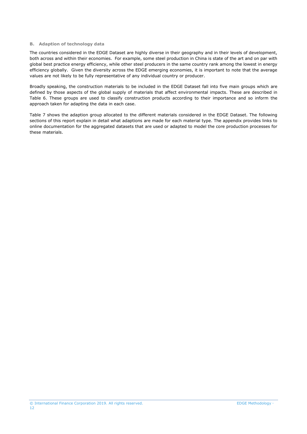#### <span id="page-11-0"></span>**B. Adaption of technology data**

The countries considered in the EDGE Dataset are highly diverse in their geography and in their levels of development, both across and within their economies. For example, some steel production in China is state of the art and on par with global best practice energy efficiency, while other steel producers in the same country rank among the lowest in energy efficiency globally. Given the diversity across the EDGE emerging economies, it is important to note that the average values are not likely to be fully representative of any individual country or producer.

Broadly speaking, the construction materials to be included in the EDGE Dataset fall into five main groups which are defined by those aspects of the global supply of materials that affect environmental impacts. These are described in Table 6. These groups are used to classify construction products according to their importance and so inform the approach taken for adapting the data in each case.

[Table 7](#page-13-0) shows the adaption group allocated to the different materials considered in the EDGE Dataset. The following sections of this report explain in detail what adaptions are made for each material type. The appendix provides links to online documentation for the aggregated datasets that are used or adapted to model the core production processes for these materials.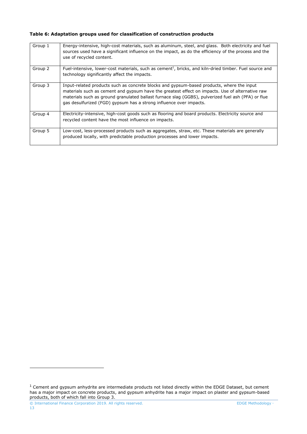# **Table 6: Adaptation groups used for classification of construction products**

| Group 1 | Energy-intensive, high-cost materials, such as aluminum, steel, and glass. Both electricity and fuel<br>sources used have a significant influence on the impact, as do the efficiency of the process and the<br>use of recycled content.                                                                                                                                 |
|---------|--------------------------------------------------------------------------------------------------------------------------------------------------------------------------------------------------------------------------------------------------------------------------------------------------------------------------------------------------------------------------|
| Group 2 | Fuel-intensive, lower-cost materials, such as cement <sup>1</sup> , bricks, and kiln-dried timber. Fuel source and<br>technology significantly affect the impacts.                                                                                                                                                                                                       |
| Group 3 | Input-related products such as concrete blocks and gypsum-based products, where the input<br>materials such as cement and gypsum have the greatest effect on impacts. Use of alternative raw<br>materials such as ground granulated ballast furnace slag (GGBS), pulverized fuel ash (PFA) or flue<br>gas desulfurized (FGD) gypsum has a strong influence over impacts. |
| Group 4 | Electricity-intensive, high-cost goods such as flooring and board products. Electricity source and<br>recycled content have the most influence on impacts.                                                                                                                                                                                                               |
| Group 5 | Low-cost, less-processed products such as aggregates, straw, etc. These materials are generally<br>produced locally, with predictable production processes and lower impacts.                                                                                                                                                                                            |

 $\overline{a}$ 

 $1$  Cement and gypsum anhydrite are intermediate products not listed directly within the EDGE Dataset, but cement has a major impact on concrete products, and gypsum anhydrite has a major impact on plaster and gypsum-based products, both of which fall into Group 3.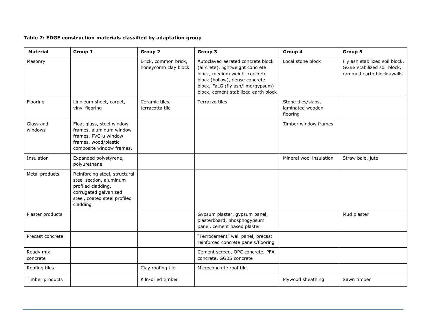# **Table 7: EDGE construction materials classified by adaptation group**

<span id="page-13-0"></span>

| <b>Material</b>       | Group 1                                                                                                                                             | Group 2                                      | Group 3                                                                                                                                                                                                               | Group 4                                            | Group 5                                                                                    |
|-----------------------|-----------------------------------------------------------------------------------------------------------------------------------------------------|----------------------------------------------|-----------------------------------------------------------------------------------------------------------------------------------------------------------------------------------------------------------------------|----------------------------------------------------|--------------------------------------------------------------------------------------------|
| Masonry               |                                                                                                                                                     | Brick, common brick,<br>honeycomb clay block | Autoclaved aerated concrete block<br>(aircrete), lightweight concrete<br>block, medium weight concrete<br>block (hollow), dense concrete<br>block, FaLG (fly ash/lime/gypsum)<br>block, cement stabilized earth block | Local stone block                                  | Fly ash stabilized soil block,<br>GGBS stabilized soil block,<br>rammed earth blocks/walls |
| Flooring              | Linoleum sheet, carpet,<br>vinyl flooring                                                                                                           | Ceramic tiles,<br>terracotta tile            | Terrazzo tiles                                                                                                                                                                                                        | Stone tiles/slabs,<br>laminated wooden<br>flooring |                                                                                            |
| Glass and<br>windows  | Float glass, steel window<br>frames, aluminum window<br>frames, PVC-u window<br>frames, wood/plastic<br>composite window frames.                    |                                              |                                                                                                                                                                                                                       | Timber window frames                               |                                                                                            |
| Insulation            | Expanded polystyrene,<br>polyurethane                                                                                                               |                                              |                                                                                                                                                                                                                       | Mineral wool insulation                            | Straw bale, jute                                                                           |
| Metal products        | Reinforcing steel, structural<br>steel section, aluminum<br>profiled cladding,<br>corrugated galvanized<br>steel, coated steel profiled<br>cladding |                                              |                                                                                                                                                                                                                       |                                                    |                                                                                            |
| Plaster products      |                                                                                                                                                     |                                              | Gypsum plaster, gypsum panel,<br>plasterboard, phosphogypsum<br>panel, cement based plaster                                                                                                                           |                                                    | Mud plaster                                                                                |
| Precast concrete      |                                                                                                                                                     |                                              | "Ferrocement" wall panel, precast<br>reinforced concrete panels/flooring                                                                                                                                              |                                                    |                                                                                            |
| Ready mix<br>concrete |                                                                                                                                                     |                                              | Cement screed, OPC concrete, PFA<br>concrete, GGBS concrete                                                                                                                                                           |                                                    |                                                                                            |
| Roofing tiles         |                                                                                                                                                     | Clay roofing tile                            | Microconcrete roof tile                                                                                                                                                                                               |                                                    |                                                                                            |
| Timber products       |                                                                                                                                                     | Kiln-dried timber                            |                                                                                                                                                                                                                       | Plywood sheathing                                  | Sawn timber                                                                                |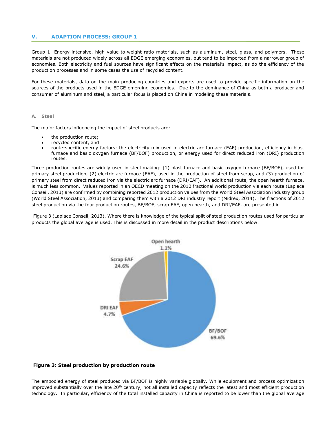#### <span id="page-14-3"></span>**V. ADAPTION PROCESS: GROUP 1**

<span id="page-14-0"></span>Group 1: Energy-intensive, high value-to-weight ratio materials, such as aluminum, steel, glass, and polymers. These materials are not produced widely across all EDGE emerging economies, but tend to be imported from a narrower group of economies. Both electricity and fuel sources have significant effects on the material's impact, as do the efficiency of the production processes and in some cases the use of recycled content.

For these materials, data on the main producing countries and exports are used to provide specific information on the sources of the products used in the EDGE emerging economies. Due to the dominance of China as both a producer and consumer of aluminum and steel, a particular focus is placed on China in modeling these materials.

#### **A. Steel**

<span id="page-14-1"></span>The major factors influencing the impact of steel products are:

- the production route;
- recycled content, and
- route-specific energy factors: the electricity mix used in electric arc furnace (EAF) production, efficiency in blast furnace and basic oxygen furnace (BF/BOF) production, or energy used for direct reduced iron (DRI) production routes.

Three production routes are widely used in steel making: (1) blast furnace and basic oxygen furnace (BF/BOF), used for primary steel production, (2) electric arc furnace (EAF), used in the production of steel from scrap, and (3) production of primary steel from direct reduced iron via the electric arc furnace (DRI/EAF). An additional route, the open hearth furnace, is much less common. Values reported in an OECD meeting on the 2012 fractional world production via each route (Laplace Conseil, 2013) are confirmed by combining reported 2012 production values from the World Steel Association industry group (World Steel Association, 2013) and comparing them with a 2012 DRI industry report (Midrex, 2014). The fractions of 2012 steel production via the four production routes, BF/BOF, scrap EAF, open hearth, and DRI/EAF, are presented in

[Figure](#page-14-2) 3 (Laplace Conseil, 2013). Where there is knowledge of the typical split of steel production routes used for particular products the global average is used. This is discussed in more detail in the product descriptions below.



#### <span id="page-14-2"></span>**Figure 3: Steel production by production route**

The embodied energy of steel produced via BF/BOF is highly variable globally. While equipment and process optimization improved substantially over the late  $20<sup>th</sup>$  century, not all installed capacity reflects the latest and most efficient production technology. In particular, efficiency of the total installed capacity in China is reported to be lower than the global average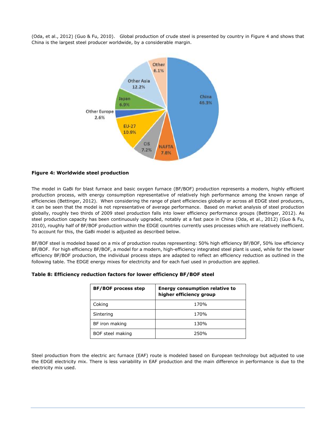(Oda, et al., 2012) (Guo & Fu, 2010). Global production of crude steel is presented by country in [Figure 4](#page-15-0) and shows that China is the largest steel producer worldwide, by a considerable margin.



#### <span id="page-15-0"></span>**Figure 4: Worldwide steel production**

The model in GaBi for blast furnace and basic oxygen furnace (BF/BOF) production represents a modern, highly efficient production process, with energy consumption representative of relatively high performance among the known range of efficiencies (Bettinger, 2012). When considering the range of plant efficiencies globally or across all EDGE steel producers, it can be seen that the model is not representative of average performance. Based on market analysis of steel production globally, roughly two thirds of 2009 steel production falls into lower efficiency performance groups (Bettinger, 2012). As steel production capacity has been continuously upgraded, notably at a fast pace in China (Oda, et al., 2012) (Guo & Fu, 2010), roughly half of BF/BOF production within the EDGE countries currently uses processes which are relatively inefficient. To account for this, the GaBi model is adjusted as described below.

BF/BOF steel is modeled based on a mix of production routes representing: 50% high efficiency BF/BOF, 50% low efficiency BF/BOF. For high efficiency BF/BOF, a model for a modern, high-efficiency integrated steel plant is used, while for the lower efficiency BF/BOF production, the individual process steps are adapted to reflect an efficiency reduction as outlined in the following table. The EDGE energy mixes for electricity and for each fuel used in production are applied.

| <b>BF/BOF process step</b> | <b>Energy consumption relative to</b><br>higher efficiency group |
|----------------------------|------------------------------------------------------------------|
| Coking                     | 170%                                                             |
| Sintering                  | 170%                                                             |
| BF iron making             | 130%                                                             |
| BOF steel making           | 250%                                                             |

| Table 8: Efficiency reduction factors for lower efficiency BF/BOF steel |  |  |  |  |  |  |  |  |  |
|-------------------------------------------------------------------------|--|--|--|--|--|--|--|--|--|
|-------------------------------------------------------------------------|--|--|--|--|--|--|--|--|--|

Steel production from the electric arc furnace (EAF) route is modeled based on European technology but adjusted to use the EDGE electricity mix. There is less variability in EAF production and the main difference in performance is due to the electricity mix used.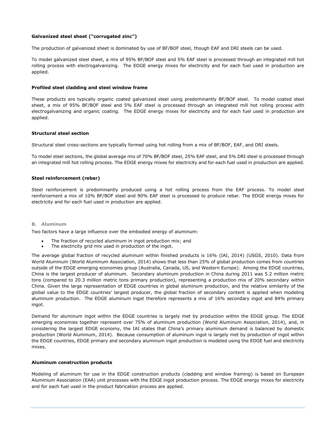#### **Galvanized steel sheet ("corrugated zinc")**

The production of galvanized sheet is dominated by use of BF/BOF steel, though EAF and DRI steels can be used.

To model galvanized steel sheet, a mix of 95% BF/BOF steel and 5% EAF steel is processed through an integrated mill hot rolling process with electrogalvanizing. The EDGE energy mixes for electricity and for each fuel used in production are applied.

#### **Profiled steel cladding and steel window frame**

These products are typically organic coated galvanized steel using predominantly BF/BOF steel. To model coated steel sheet, a mix of 95% BF/BOF steel and 5% EAF steel is processed through an integrated mill hot rolling process with electrogalvanizing and organic coating. The EDGE energy mixes for electricity and for each fuel used in production are applied.

#### **Structural steel section**

Structural steel cross-sections are typically formed using hot rolling from a mix of BF/BOF, EAF, and DRI steels.

To model steel sections, the global average mix of 70% BF/BOF steel, 25% EAF steel, and 5% DRI steel is processed through an integrated mill hot rolling process. The EDGE energy mixes for electricity and for each fuel used in production are applied.

#### **Steel reinforcement (rebar)**

Steel reinforcement is predominantly produced using a hot rolling process from the EAF process. To model steel reinforcement a mix of 10% BF/BOF steel and 90% EAF steel is processed to produce rebar. The EDGE energy mixes for electricity and for each fuel used in production are applied.

#### **B. Aluminum**

Two factors have a large influence over the embodied energy of aluminum:

- The fraction of recycled aluminum in ingot production mix; and
- The electricity grid mix used in production of the ingot.

<span id="page-16-0"></span>The average global fraction of recycled aluminum within finished products is 16% (IAI, 2014) (USGS, 2010). Data from World Aluminum (World Aluminum Association, 2014) shows that less than 25% of global production comes from countries outside of the EDGE emerging economies group (Australia, Canada, US, and Western Europe). Among the EDGE countries, China is the largest producer of aluminum. Secondary aluminum production in China during 2011 was 5.2 million metric tons (compared to 20.3 million metric tons primary production), representing a production mix of 20% secondary within China. Given the large representation of EDGE countries in global aluminum production, and the relative similarity of the global value to the EDGE countries' largest producer, the global fraction of secondary content is applied when modeling aluminum production. The EDGE aluminum ingot therefore represents a mix of 16% secondary ingot and 84% primary ingot.

Demand for aluminum ingot within the EDGE countries is largely met by production within the EDGE group. The EDGE emerging economies together represent over 75% of aluminum production (World Aluminum Association, 2014), and, in considering the largest EDGE economy, the IAI states that China's primary aluminum demand is balanced by domestic production (World Aluminum, 2014). Because consumption of aluminum ingot is largely met by production of ingot within the EDGE countries, EDGE primary and secondary aluminum ingot production is modeled using the EDGE fuel and electricity mixes.

#### **Aluminum construction products**

Modeling of aluminum for use in the EDGE construction products (cladding and window framing) is based on European Aluminium Association (EAA) unit processes with the EDGE ingot production process. The EDGE energy mixes for electricity and for each fuel used in the product fabrication process are applied.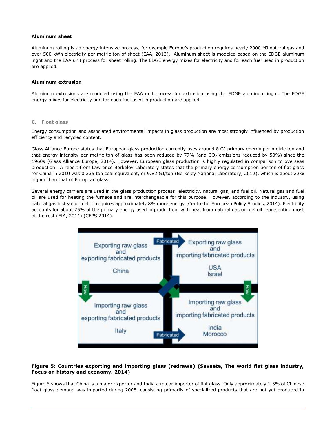#### **Aluminum sheet**

Aluminum rolling is an energy-intensive process, for example Europe's production requires nearly 2000 MJ natural gas and over 500 kWh electricity per metric ton of sheet (EAA, 2013). Aluminum sheet is modeled based on the EDGE aluminum ingot and the EAA unit process for sheet rolling. The EDGE energy mixes for electricity and for each fuel used in production are applied.

#### **Aluminum extrusion**

Aluminum extrusions are modeled using the EAA unit process for extrusion using the EDGE aluminum ingot. The EDGE energy mixes for electricity and for each fuel used in production are applied.

#### **C. Float glass**

Energy consumption and associated environmental impacts in glass production are most strongly influenced by production efficiency and recycled content.

<span id="page-17-0"></span>Glass Alliance Europe states that European glass production currently uses around 8 GJ primary energy per metric ton and that energy intensity per metric ton of glass has been reduced by  $77%$  (and  $CO<sub>2</sub>$  emissions reduced by 50%) since the 1960s (Glass Alliance Europe, 2014). However, European glass production is highly regulated in comparison to overseas production. A report from Lawrence Berkeley Laboratory states that the primary energy consumption per ton of flat glass for China in 2010 was 0.335 ton coal equivalent, or 9.82 GJ/ton (Berkeley National Laboratory, 2012), which is about 22% higher than that of European glass.

Several energy carriers are used in the glass production process: electricity, natural gas, and fuel oil. Natural gas and fuel oil are used for heating the furnace and are interchangeable for this purpose. However, according to the industry, using natural gas instead of fuel oil requires approximately 8% more energy (Centre for European Policy Studies, 2014). Electricity accounts for about 25% of the primary energy used in production, with heat from natural gas or fuel oil representing most of the rest (EIA, 2014) (CEPS 2014).



# <span id="page-17-1"></span>**Figure 5: Countries exporting and importing glass (redrawn) (Savaete, The world flat glass industry, Focus on history and economy, 2014)**

[Figure 5](#page-17-1) shows that China is a major exporter and India a major importer of flat glass. Only approximately 1.5% of Chinese float glass demand was imported during 2008, consisting primarily of specialized products that are not yet produced in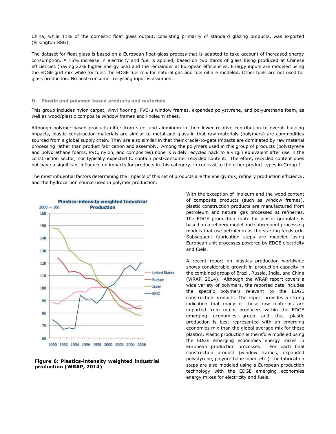China, while 11% of the domestic float glass output, consisting primarily of standard glazing products, was exported (Pilkington NSG).

The dataset for float glass is based on a European float glass process that is adapted to take account of increased energy consumption. A 15% increase in electricity and fuel is applied, based on two thirds of glass being produced at Chinese efficiencies (having 22% higher energy use) and the remainder at European efficiencies. Energy inputs are modeled using the EDGE grid mix while for fuels the EDGE fuel mix for natural gas and fuel oil are modeled. Other fuels are not used for glass production. No post-consumer recycling input is assumed.

#### **D. Plastic and polymer-based products and materials**

This group includes nylon carpet, vinyl flooring, PVC-u window frames, expanded polystyrene, and polyurethane foam, as well as wood/plastic composite window frames and linoleum sheet.

<span id="page-18-0"></span>Although polymer-based products differ from steel and aluminum in their lower relative contribution to overall building impacts, plastic construction materials are similar to metal and glass in that raw materials (polymers) are commodities sourced from a global supply chain. They are also similar in that their cradle-to-gate impacts are dominated by raw material processing rather than product fabrication and assembly. Among the polymers used in this group of products (polystyrene and polyurethane foams, PVC, nylon, and composites) none is widely recycled back to a virgin equivalent after use in the construction sector, nor typically expected to contain post-consumer recycled content. Therefore, recycled content does not have a significant influence on impacts for products in this category, in contrast to the other product types in Group 1.

The most influential factors determining the impacts of this set of products are the energy mix, refinery production efficiency, and the hydrocarbon source used in polymer production.



#### **Figure 6: Plastics-intensity weighted industrial production (WRAP, 2014)**

With the exception of linoleum and the wood content of composite products (such as window frames), plastic construction products are manufactured from petroleum and natural gas processed at refineries. The EDGE production route for plastic granulate is based on a refinery model and subsequent processing models that use petroleum as the starting feedstock. Subsequent fabrication steps are modeled using European unit processes powered by EDGE electricity and fuels.

A recent report on plastics production worldwide shows considerable growth in production capacity in the combined group of Brazil, Russia, India, and China (WRAP, 2014). Although the WRAP report covers a wide variety of polymers, the reported data includes the specific polymers relevant to the EDGE construction products. The report provides a strong indication that many of these raw materials are imported from major producers within the EDGE emerging economies group and that plastic production is best represented with an emerging economies mix than the global average mix for these plastics. Plastic production is therefore modeled using the EDGE emerging economies energy mixes in European production processes. For each final construction product (window frames, expanded polystyrene, polyurethane foam, etc.), the fabrication steps are also modeled using a European production technology with the EDGE emerging economies energy mixes for electricity and fuels.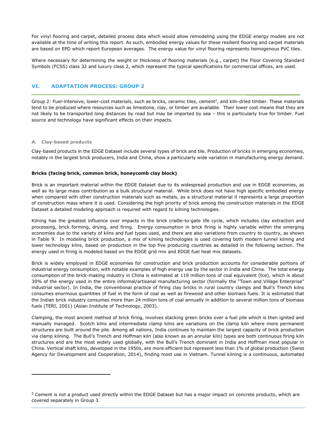For vinyl flooring and carpet, detailed process data which would allow remodeling using the EDGE energy models are not available at the time of writing this report. As such, embodied energy values for these resilient flooring and carpet materials are based on EPD which report European averages. The energy value for vinyl flooring represents homogenous PVC tiles.

Where necessary for determining the weight or thickness of flooring materials (e.g., carpet) the Floor Covering Standard Symbols (FCSS) class 32 and luxury class 2, which represent the typical specifications for commercial offices, are used.

# <span id="page-19-2"></span>**VI. ADAPTATION PROCESS: GROUP 2**

<span id="page-19-0"></span>Group 2: Fuel-intensive, lower-cost materials, such as bricks, ceramic tiles, cement<sup>2</sup>, and kiln-dried timber. These materials tend to be produced where resources such as limestone, clay, or timber are available. Their lower cost means that they are not likely to be transported long distances by road but may be imported by sea – this is particularly true for timber. Fuel source and technology have significant effects on their impacts.

#### **A. Clay-based products**

 $\overline{a}$ 

Clay-based products in the EDGE Dataset include several types of brick and tile. Production of bricks in emerging economies, notably in the largest brick producers, India and China, show a particularly wide variation in manufacturing energy demand.

#### <span id="page-19-1"></span>**Bricks (facing brick, common brick, honeycomb clay block)**

Brick is an important material within the EDGE Dataset due to its widespread production and use in EDGE economies, as well as its large mass contribution as a bulk structural material. While brick does not have high specific embodied energy when compared with other construction materials such as metals, as a structural material it represents a large proportion of construction mass where it is used. Considering the high priority of brick among the construction materials in the EDGE Dataset a detailed modeling approach is required with regard to kilning technologies.

Kilning has the greatest influence over impacts in the brick cradle-to-gate life cycle, which includes clay extraction and processing, brick forming, drying, and firing. Energy consumption in brick firing is highly variable within the emerging economies due to the variety of kilns and fuel types used, and there are also variations from country to country, as shown in [Table 9.](#page-20-0) In modeling brick production, a mix of kilning technologies is used covering both modern tunnel kilning and lower technology kilns, based on production in the top five producing countries as detailed in the following section. The energy used in firing is modeled based on the EDGE grid mix and EDGE fuel heat mix datasets.

Brick is widely employed in EDGE economies for construction and brick production accounts for considerable portions of industrial energy consumption, with notable examples of high energy use by the sector in India and China. The total energy consumption of the brick-making industry in China is estimated at 119 million tons of coal equivalent (tce), which is about 30% of the energy used in the entire informal/artisanal manufacturing sector (formally the "Town and Village Enterprise" industrial sector). In India, the conventional practice of firing clay bricks in rural country clamps and Bull's Trench kilns consumes enormous quantities of fuel in the form of coal as well as firewood and other biomass fuels. It is estimated that the Indian brick industry consumes more than 24 million tons of coal annually in addition to several million tons of biomass fuels (TERI, 2001) (Asian Institute of Technology, 2003).

Clamping, the most ancient method of brick firing, involves stacking green bricks over a fuel pile which is then ignited and manually managed. Scotch kilns and intermediate clamp kilns are variations on the clamp kiln where more permanent structures are built around the pile. Among all nations, India continues to maintain the largest capacity of brick production via clamp kilning. The Bull's Trench and Hoffman kiln (also known as an annular kiln) types are both continuous firing kiln structures and are the most widely used globally, with the Bull's Trench dominant in India and Hoffman most popular in China. Vertical shaft kilns, developed in the 1950s, are more efficient but represent less than 1% of global production (Swiss Agency for Development and Cooperation, 2014), finding most use in Vietnam. Tunnel kilning is a continuous, automated

 $2$  Cement is not a product used directly within the EDGE Dataset but has a major impact on concrete products, which are covered separately in Group 3.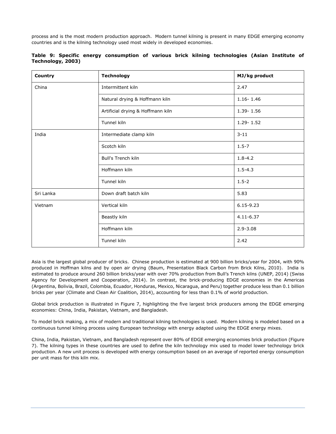process and is the most modern production approach. Modern tunnel kilning is present in many EDGE emerging economy countries and is the kilning technology used most widely in developed economies.

| Country   | <b>Technology</b>                 | MJ/kg product |
|-----------|-----------------------------------|---------------|
| China     | Intermittent kiln                 | 2.47          |
|           | Natural drying & Hoffmann kiln    | $1.16 - 1.46$ |
|           | Artificial drying & Hoffmann kiln | $1.39 - 1.56$ |
|           | Tunnel kiln                       | $1.29 - 1.52$ |
| India     | Intermediate clamp kiln           | $3 - 11$      |
|           | Scotch kiln                       | $1.5 - 7$     |
|           | <b>Bull's Trench kiln</b>         | $1.8 - 4.2$   |
|           | Hoffmann kiln                     | $1.5 - 4.3$   |
|           | Tunnel kiln                       | $1.5 - 2$     |
| Sri Lanka | Down draft batch kiln             | 5.83          |
| Vietnam   | Vertical kiln                     | $6.15 - 9.23$ |
|           | Beastly kiln                      | $4.11 - 6.37$ |
|           | Hoffmann kiln                     | $2.9 - 3.08$  |
|           | Tunnel kiln                       | 2.42          |

<span id="page-20-0"></span>

|  |                   |  |  |  | Table 9: Specific energy consumption of various brick kilning technologies (Asian Institute of |  |  |
|--|-------------------|--|--|--|------------------------------------------------------------------------------------------------|--|--|
|  | Technology, 2003) |  |  |  |                                                                                                |  |  |

Asia is the largest global producer of bricks. Chinese production is estimated at 900 billion bricks/year for 2004, with 90% produced in Hoffman kilns and by open air drying (Baum, Presentation Black Carbon from Brick Kilns, 2010). India is estimated to produce around 260 billion bricks/year with over 70% production from Bull's Trench kilns (UNEP, 2014) (Swiss Agency for Development and Cooperation, 2014). In contrast, the brick-producing EDGE economies in the Americas (Argentina, Bolivia, Brazil, Colombia, Ecuador, Honduras, Mexico, Nicaragua, and Peru) together produce less than 0.1 billion bricks per year (Climate and Clean Air Coalition, 2014), accounting for less than 0.1% of world production.

Global brick production is illustrated in [Figure 7,](#page-21-0) highlighting the five largest brick producers among the EDGE emerging economies: China, India, Pakistan, Vietnam, and Bangladesh.

To model brick making, a mix of modern and traditional kilning technologies is used. Modern kilning is modeled based on a continuous tunnel kilning process using European technology with energy adapted using the EDGE energy mixes.

China, India, Pakistan, Vietnam, and Bangladesh represent over 80% of EDGE emerging economies brick production [\(Figure](#page-21-0)  [7\)](#page-21-0). The kilning types in these countries are used to define the kiln technology mix used to model lower technology brick production. A new unit process is developed with energy consumption based on an average of reported energy consumption per unit mass for this kiln mix.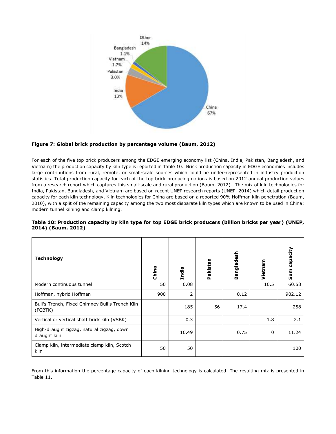

# <span id="page-21-0"></span>**Figure 7: Global brick production by percentage volume (Baum, 2012)**

For each of the five top brick producers among the EDGE emerging economy list (China, India, Pakistan, Bangladesh, and Vietnam) the production capacity by kiln type is reported in [Table 10.](#page-21-1) Brick production capacity in EDGE economies includes large contributions from rural, remote, or small-scale sources which could be under-represented in industry production statistics. Total production capacity for each of the top brick producing nations is based on 2012 annual production values from a research report which captures this small-scale and rural production (Baum, 2012). The mix of kiln technologies for India, Pakistan, Bangladesh, and Vietnam are based on recent UNEP research reports (UNEP, 2014) which detail production capacity for each kiln technology. Kiln technologies for China are based on a reported 90% Hoffman kiln penetration (Baum, 2010), with a split of the remaining capacity among the two most disparate kiln types which are known to be used in China: modern tunnel kilning and clamp kilning.

# <span id="page-21-1"></span>**Table 10: Production capacity by kiln type for top EDGE brick producers (billion bricks per year) (UNEP, 2014) (Baum, 2012)**

| <b>Technology</b>                                          | China | India | Pakistan | Bangladesh | <b>lietnam</b> | capacity<br>Sum |
|------------------------------------------------------------|-------|-------|----------|------------|----------------|-----------------|
| Modern continuous tunnel                                   | 50    | 0.08  |          |            | 10.5           | 60.58           |
| Hoffman, hybrid Hoffman                                    | 900   | 2     |          | 0.12       |                | 902.12          |
| Bull's Trench, Fixed Chimney Bull's Trench Kiln<br>(FCBTK) |       | 185   | 56       | 17.4       |                | 258             |
| Vertical or vertical shaft brick kiln (VSBK)               |       | 0.3   |          |            | 1.8            | 2.1             |
| High-draught zigzag, natural zigzag, down<br>draught kiln  |       | 10.49 |          | 0.75       | 0              | 11.24           |
| Clamp kiln, intermediate clamp kiln, Scotch<br>kiln        | 50    | 50    |          |            |                | 100             |

From this information the percentage capacity of each kilning technology is calculated. The resulting mix is presented in [Table 11.](#page-22-0)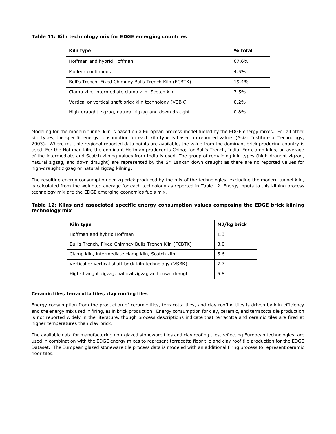# <span id="page-22-0"></span>**Table 11: Kiln technology mix for EDGE emerging countries**

| Kiln type                                               | % total |
|---------------------------------------------------------|---------|
| Hoffman and hybrid Hoffman                              | 67.6%   |
| Modern continuous                                       | 4.5%    |
| Bull's Trench, Fixed Chimney Bulls Trench Kiln (FCBTK)  | 19.4%   |
| Clamp kiln, intermediate clamp kiln, Scotch kiln        | 7.5%    |
| Vertical or vertical shaft brick kiln technology (VSBK) | 0.2%    |
| High-draught zigzag, natural zigzag and down draught    | 0.8%    |

Modeling for the modern tunnel kiln is based on a European process model fueled by the EDGE energy mixes. For all other kiln types, the specific energy consumption for each kiln type is based on reported values (Asian Institute of Technology, 2003). Where multiple regional reported data points are available, the value from the dominant brick producing country is used. For the Hoffman kiln, the dominant Hoffman producer is China; for Bull's Trench, India. For clamp kilns, an average of the intermediate and Scotch kilning values from India is used. The group of remaining kiln types (high-draught zigzag, natural zigzag, and down draught) are represented by the Sri Lankan down draught as there are no reported values for high-draught zigzag or natural zigzag kilning.

The resulting energy consumption per kg brick produced by the mix of the technologies, excluding the modern tunnel kiln, is calculated from the weighted average for each technology as reported in [Table 12.](#page-22-1) Energy inputs to this kilning process technology mix are the EDGE emerging economies fuels mix.

#### <span id="page-22-1"></span>**Table 12: Kilns and associated specific energy consumption values composing the EDGE brick kilning technology mix**

| Kiln type                                               | MJ/kg brick |
|---------------------------------------------------------|-------------|
| Hoffman and hybrid Hoffman                              | 1.3         |
| Bull's Trench, Fixed Chimney Bulls Trench Kiln (FCBTK)  | 3.0         |
| Clamp kiln, intermediate clamp kiln, Scotch kiln        | 5.6         |
| Vertical or vertical shaft brick kiln technology (VSBK) | 7.7         |
| High-draught zigzag, natural zigzag and down draught    | 5.8         |

#### **Ceramic tiles, terracotta tiles, clay roofing tiles**

Energy consumption from the production of ceramic tiles, terracotta tiles, and clay roofing tiles is driven by kiln efficiency and the energy mix used in firing, as in brick production. Energy consumption for clay, ceramic, and terracotta tile production is not reported widely in the literature, though process descriptions indicate that terracotta and ceramic tiles are fired at higher temperatures than clay brick.

The available data for manufacturing non-glazed stoneware tiles and clay roofing tiles, reflecting European technologies, are used in combination with the EDGE energy mixes to represent terracotta floor tile and clay roof tile production for the EDGE Dataset. The European glazed stoneware tile process data is modeled with an additional firing process to represent ceramic floor tiles.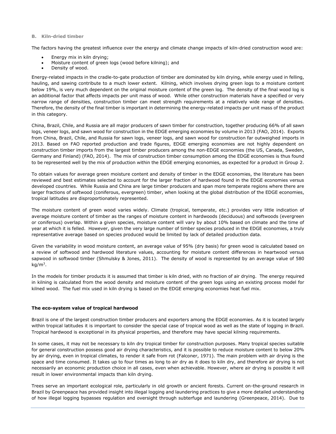#### <span id="page-23-1"></span>**B. Kiln-dried timber**

The factors having the greatest influence over the energy and climate change impacts of kiln-dried construction wood are:

- Energy mix in kiln drying;
- <span id="page-23-0"></span>• Moisture content of green logs (wood before kilning); and
- Density of wood.

Energy-related impacts in the cradle-to-gate production of timber are dominated by kiln drying, while energy used in felling, hauling, and sawing contribute to a much lower extent. Kilning, which involves drying green logs to a moisture content below 19%, is very much dependent on the original moisture content of the green log. The density of the final wood log is an additional factor that affects impacts per unit mass of wood. While other construction materials have a specified or very narrow range of densities, construction timber can meet strength requirements at a relatively wide range of densities. Therefore, the density of the final timber is important in determining the energy-related impacts per unit mass of the product in this category.

China, Brazil, Chile, and Russia are all major producers of sawn timber for construction, together producing 66% of all sawn logs, veneer logs, and sawn wood for construction in the EDGE emerging economies by volume in 2013 (FAO, 2014). Exports from China, Brazil, Chile, and Russia for sawn logs, veneer logs, and sawn wood for construction far outweighed imports in 2013. Based on FAO reported production and trade figures, EDGE emerging economies are not highly dependent on construction timber imports from the largest timber producers among the non-EDGE economies (the US, Canada, Sweden, Germany and Finland) (FAO, 2014). The mix of construction timber consumption among the EDGE economies is thus found to be represented well by the mix of production within the EDGE emerging economies, as expected for a product in Group 2.

To obtain values for average green moisture content and density of timber in the EDGE economies, the literature has been reviewed and best estimates selected to account for the larger fraction of hardwood found in the EDGE economies versus developed countries. While Russia and China are large timber producers and span more temperate regions where there are larger fractions of softwood (coniferous, evergreen) timber, when looking at the global distribution of the EDGE economies, tropical latitudes are disproportionately represented.

The moisture content of green wood varies widely. Climate (tropical, temperate, etc.) provides very little indication of average moisture content of timber as the ranges of moisture content in hardwoods (deciduous) and softwoods (evergreen or coniferous) overlap. Within a given species, moisture content will vary by about 10% based on climate and the time of year at which it is felled. However, given the very large number of timber species produced in the EDGE economies, a truly representative average based on species produced would be limited by lack of detailed production data.

Given the variability in wood moisture content, an average value of 95% (dry basis) for green wood is calculated based on a review of softwood and hardwood literature values, accounting for moisture content differences in heartwood versus sapwood in softwood timber (Shmulsky & Jones, 2011). The density of wood is represented by an average value of 580 kg/m $^3$ .

In the models for timber products it is assumed that timber is kiln dried, with no fraction of air drying. The energy required in kilning is calculated from the wood density and moisture content of the green logs using an existing process model for kilned wood. The fuel mix used in kiln drying is based on the EDGE emerging economies heat fuel mix.

#### **The eco-system value of tropical hardwood**

Brazil is one of the largest construction timber producers and exporters among the EDGE economies. As it is located largely within tropical latitudes it is important to consider the special case of tropical wood as well as the state of logging in Brazil. Tropical hardwood is exceptional in its physical properties, and therefore may have special kilning requirements.

In some cases, it may not be necessary to kiln dry tropical timber for construction purposes. Many tropical species suitable for general construction possess good air drying characteristics, and it is possible to reduce moisture content to below 20% by air drying, even in tropical climates, to render it safe from rot (Falconer, 1971). The main problem with air drying is the space and time consumed. It takes up to four times as long to air dry as it does to kiln dry, and therefore air drying is not necessarily an economic production choice in all cases, even when achievable. However, where air drying is possible it will result in lower environmental impacts than kiln drying.

Trees serve an important ecological role, particularly in old growth or ancient forests. Current on-the-ground research in Brazil by Greenpeace has provided insight into illegal logging and laundering practices to give a more detailed understanding of how illegal logging bypasses regulation and oversight through subterfuge and laundering (Greenpeace, 2014). Due to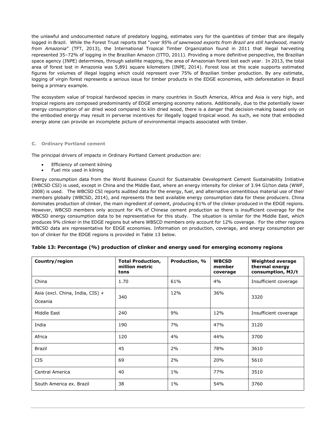the unlawful and undocumented nature of predatory logging, estimates vary for the quantities of timber that are illegally logged in Brazil. While the Forest Trust reports that "*over 95% of sawnwood exports from Brazil are still hardwood, mainly from Amazonia*" (TFT, 2013), the International Tropical Timber Organization found in 2011 that illegal harvesting represented 35–72% of logging in the Brazilian Amazon (ITTO, 2011). Providing a more definitive perspective, the Brazilian space agency (INPE) determines, through satellite mapping, the area of Amazonian forest lost each year. In 2013, the total area of forest lost in Amazonia was 5,891 square kilometers (INPE, 2014). Forest loss at this scale supports estimated figures for volumes of illegal logging which could represent over 75% of Brazilian timber production. By any estimate, logging of virgin forest represents a serious issue for timber products in the EDGE economies, with deforestation in Brazil being a primary example.

The ecosystem value of tropical hardwood species in many countries in South America, Africa and Asia is very high, and tropical regions are composed predominantly of EDGE emerging economy nations. Additionally, due to the potentially lower energy consumption of air dried wood compared to kiln dried wood, there is a danger that decision-making based only on the embodied energy may result in perverse incentives for illegally logged tropical wood. As such, we note that embodied energy alone can provide an incomplete picture of environmental impacts associated with timber.

#### **C. Ordinary Portland cement**

<span id="page-24-0"></span>The principal drivers of impacts in Ordinary Portland Cement production are:

- Efficiency of cement kilning
- Fuel mix used in kilning

Energy consumption data from the World Business Council for Sustainable Development Cement Sustainability Initiative (WBCSD CSI) is used, except in China and the Middle East, where an energy intensity for clinker of 3.94 GJ/ton data (WWF, 2008) is used. The WBCSD CSI reports audited data for the energy, fuel, and alternative cementitious material use of their members globally (WBCSD, 2014), and represents the best available energy consumption data for these producers. China dominates production of clinker, the main ingredient of cement, producing 61% of the clinker produced in the EDGE regions. However, WBCSD members only account for 4% of Chinese cement production so there is insufficient coverage for the WBCSD energy consumption data to be representative for this study. The situation is similar for the Middle East, which produces 9% clinker in the EDGE regions but where WBSCD members only account for 12% coverage. For the other regions WBCSD data are representative for EDGE economies. Information on production, coverage, and energy consumption per ton of clinker for the EDGE regions is provided in [Table 13](#page-24-1) below.

| Country/region                              | <b>Total Production,</b><br>million metric<br>tons | Production, % | <b>WBCSD</b><br>member<br>coverage | <b>Weighted average</b><br>thermal energy<br>consumption, MJ/t |
|---------------------------------------------|----------------------------------------------------|---------------|------------------------------------|----------------------------------------------------------------|
| China                                       | 1.70                                               | 61%           | 4%                                 | Insufficient coverage                                          |
| Asia (excl. China, India, CIS) +<br>Oceania | 340                                                | 12%           | 36%                                | 3320                                                           |
| Middle East                                 | 240                                                | 9%            | 12%                                | Insufficient coverage                                          |
| India                                       | 190                                                | 7%            | 47%                                | 3120                                                           |
| Africa                                      | 120                                                | 4%            | 44%                                | 3700                                                           |
| Brazil                                      | 45                                                 | 2%            | 78%                                | 3610                                                           |
| <b>CIS</b>                                  | 69                                                 | 2%            | 20%                                | 5610                                                           |
| Central America                             | 40                                                 | $1\%$         | 77%                                | 3510                                                           |
| South America ex. Brazil                    | 38                                                 | $1\%$         | 54%                                | 3760                                                           |

#### <span id="page-24-1"></span>**Table 13: Percentage (%) production of clinker and energy used for emerging economy regions**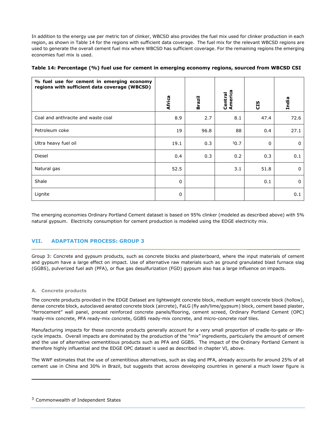In addition to the energy use per metric ton of clinker, WBCSD also provides the fuel mix used for clinker production in each region, as shown in [Table 14](#page-25-2) for the regions with sufficient data coverage. The fuel mix for the relevant WBCSD regions are used to generate the overall cement fuel mix where WBCSD has sufficient coverage. For the remaining regions the emerging economies fuel mix is used.

<span id="page-25-2"></span>

| % fuel use for cement in emerging economy<br>regions with sufficient data coverage (WBCSD) | Africa      | Brazil | America<br>Central | CIS          | India    |
|--------------------------------------------------------------------------------------------|-------------|--------|--------------------|--------------|----------|
| Coal and anthracite and waste coal                                                         | 8.9         | 2.7    | 8.1                | 47.4         | 72.6     |
| Petroleum coke                                                                             | 19          | 96.8   | 88                 | 0.4          | 27.1     |
| Ultra heavy fuel oil                                                                       | 19.1        | 0.3    | 30.7               | $\mathbf{0}$ | $\Omega$ |
| Diesel                                                                                     | 0.4         | 0.3    | 0.2                | 0.3          | 0.1      |
| Natural gas                                                                                | 52.5        |        | 3.1                | 51.8         | 0        |
| Shale                                                                                      | $\mathbf 0$ |        |                    | 0.1          | $\Omega$ |
| Lignite                                                                                    | $\mathbf 0$ |        |                    |              | 0.1      |

The emerging economies Ordinary Portland Cement dataset is based on 95% clinker (modeled as described above) with 5% natural gypsum. Electricity consumption for cement production is modeled using the EDGE electricity mix.

# **VII. ADAPTATION PROCESS: GROUP 3**

<span id="page-25-0"></span>Group 3: Concrete and gypsum products, such as concrete blocks and plasterboard, where the input materials of cement and gypsum have a large effect on impact. Use of alternative raw materials such as ground granulated blast furnace slag (GGBS), pulverized fuel ash (PFA), or flue gas desulfurization (FGD) gypsum also has a large influence on impacts.

#### **A. Concrete products**

 $\overline{a}$ 

<span id="page-25-1"></span>The concrete products provided in the EDGE Dataset are lightweight concrete block, medium weight concrete block (hollow), dense concrete block, autoclaved aerated concrete block (aircrete), FaLG (fly ash/lime/gypsum) block, cement based plaster, "ferrocement" wall panel, precast reinforced concrete panels/flooring, cement screed, Ordinary Portland Cement (OPC) ready-mix concrete, PFA ready-mix concrete, GGBS ready-mix concrete, and micro-concrete roof tiles.

Manufacturing impacts for these concrete products generally account for a very small proportion of cradle-to-gate or lifecycle impacts. Overall impacts are dominated by the production of the "mix" ingredients, particularly the amount of cement and the use of alternative cementitious products such as PFA and GGBS. The impact of the Ordinary Portland Cement is therefore highly influential and the EDGE OPC dataset is used as described in chapter [VI,](#page-19-2) above.

The WWF estimates that the use of cementitious alternatives, such as slag and PFA, already accounts for around 25% of all cement use in China and 30% in Brazil, but suggests that across developing countries in general a much lower figure is

<sup>&</sup>lt;sup>3</sup> Commonwealth of Independent States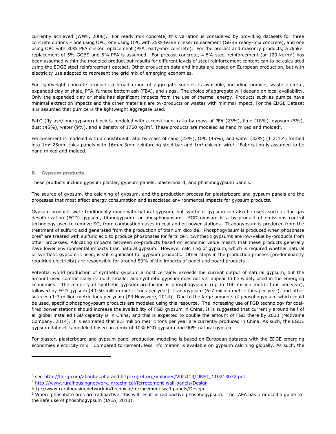currently achieved (WWF, 2008). For ready mix concrete, this variation is considered by providing datasets for three concrete options – one using OPC, one using OPC with 25% GGBS clinker replacement (GGBS ready-mix concrete), and one using OPC with 30% PFA clinker replacement (PFA ready-mix concrete). For the precast and masonry products, a clinker replacement of 5% GGBS and 5% PFA is assumed. For precast concrete, 4.8% steel reinforcement (or 120 kg/m<sup>3</sup>) has been assumed within the modeled product but results for different levels of steel reinforcement content can to be calculated using the EDGE steel reinforcement dataset. Other production data and inputs are based on European production, but with electricity use adapted to represent the grid mix of emerging economies.

For lightweight concrete products a broad range of aggregate sources is available, including pumice, waste aircrete, expanded clay or shale, PFA, furnace bottom ash (FBA), and slags. The choice of aggregate will depend on local availability. Only the expanded clay or shale has significant impacts from the use of thermal energy. Products such as pumice have minimal extraction impacts and the other materials are by-products or wastes with minimal impact. For the EDGE Dataset it is assumed that pumice is the lightweight aggregate used.

FaLG (fly ash/lime/gypsum) block is modeled with a constituent ratio by mass of PFA (23%), lime (18%), gypsum (5%), dust (45%), water (9%), and a density of 1760 kg/m<sup>3</sup>. These products are modeled as hand mixed and molded<sup>4</sup>.

Ferro-cement is modeled with a constituent ratio by mass of sand (23%), OPC (45%), and water (32%) (1:2:1.4) formed into 1m<sup>2</sup> 25mm thick panels with 16m x 3mm reinforcing steel bar and 1m<sup>2</sup> chicken wire<sup>5</sup>. Fabrication is assumed to be hand mixed and molded.

#### **B. Gypsum products**

 $\overline{a}$ 

These products include gypsum plaster, gypsum panels, plasterboard, and phosphogypsum panels.

<span id="page-26-0"></span>The source of gypsum, the calcining of gypsum, and the production process for plasterboard and gypsum panels are the processes that most affect energy consumption and associated environmental impacts for gypsum products.

Gypsum products were traditionally made with natural gypsum, but synthetic gypsum can also be used, such as flue gas desulfurization (FGD) gypsum, titanogypsum, or phosphogypsum. FGD gypsum is a by-product of emissions control technology used to remove SO<sub>2</sub> from combustion gases in coal and oil power stations. Titanogypsum is produced from the treatment of sulfuric acid generated from the production of titanium dioxide. Phosphogypsum is produced when phosphate ores<sup>6</sup> are treated with sulfuric acid to produce phosphates for fertilizer. Synthetic gypsums are low-value by-products from other processes. Allocating impacts between co-products based on economic value means that these products generally have lower environmental impacts than natural gypsum. However calcining of gypsum, which is required whether natural or synthetic gypsum is used, is still significant for gypsum products. Other steps in the production process (predominantly requiring electricity) are responsible for around 50% of the impacts of panel and board products.

Potential world production of synthetic gypsum almost certainly exceeds the current output of natural gypsum, but the amount used commercially is much smaller and synthetic gypsum does not yet appear to be widely used in the emerging economies. The majority of synthetic gypsum production is phosphogypsum (up to 100 million metric tons per year), followed by FGD gypsum (40-50 million metric tons per year), titanogypsum (6-7 million metric tons per year), and other sources (1-3 million metric tons per year) (PR Newswire, 2014). Due to the large amounts of phosphogypsum which could be used, specific phosphogypsum products are modeled using this resource. The increasing use of FGD technology for coalfired power stations should increase the availability of FGD gypsum in China. It is suggested that currently around half of all global installed FGD capacity is in China, and this is expected to double the amount of FGD there by 2020 (McIlvaine Company, 2014). It is estimated that 8.5 million metric tons per year are currently produced in China. As such, the EGDE gypsum dataset is modeled based on a mix of 10% FGD gypsum and 90% natural gypsum.

For plaster, plasterboard and gypsum panel production modeling is based on European datasets with the EDGE emerging economies electricity mix. Compared to cement, less information is available on gypsum calcining globally. As such, the

<sup>&</sup>lt;sup>4</sup> see<http://fal-g.com/aboutus.php> and [http://ijret.org/Volumes/V02/I13/IJRET\\_110213072.pdf](http://ijret.org/Volumes/V02/I13/IJRET_110213072.pdf) <sup>5</sup> <http://www.ruralhousingnetwork.in/technical/ferrocement-wall-panels/Design>

http://www.ruralhousingnetwork.in/technical/ferrocement-wall-panels/Design

 $6$  Where phosphate ores are radioactive, this will result in radioactive phosphogypsum. The IAEA has produced a guide to the safe use of phosphogypsum (IAEA, 2013).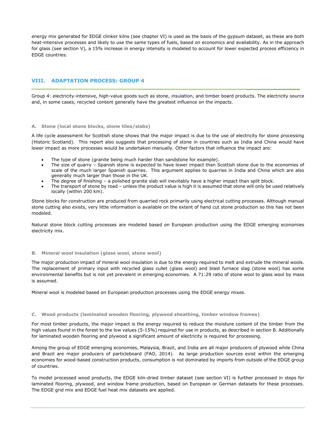energy mix generated for EDGE clinker kilns (see chapter [VI\)](#page-19-2) is used as the basis of the gypsum dataset, as these are both heat-intensive processes and likely to use the same types of fuels, based on economics and availability. As in the approach for glass (see section [V\)](#page-14-3), a 15% increase in energy intensity is modeled to account for lower expected process efficiency in EDGE countries.

# **VIII. ADAPTATION PROCESS: GROUP 4**

<span id="page-27-0"></span>Group 4: electricity-intensive, high-value goods such as stone, insulation, and timber board products. The electricity source and, in some cases, recycled content generally have the greatest influence on the impacts.

#### **A. Stone (local stone blocks, stone tiles/slabs)**

A life cycle assessment for Scottish stone shows that the major impact is due to the use of electricity for stone processing (Historic Scotland). This report also suggests that processing of stone in countries such as India and China would have lower impact as more processes would be undertaken manually. Other factors that influence the impact are:

- <span id="page-27-1"></span>The type of stone (granite being much harder than sandstone for example).
- The size of quarry Spanish stone is expected to have lower impact than Scottish stone due to the economies of scale of the much larger Spanish quarries. This argument applies to quarries in India and China which are also generally much larger than those in the UK.
- The degree of finishing a polished granite slab will inevitably have a higher impact than split block.
- The transport of stone by road unless the product value is high it is assumed that stone will only be used relatively locally (within 200 km).

Stone blocks for construction are produced from quarried rock primarily using electrical cutting processes. Although manual stone cutting also exists, very little information is available on the extent of hand cut stone production so this has not been modeled.

Natural stone block cutting processes are modeled based on European production using the EDGE emerging economies electricity mix.

#### **B. Mineral wool insulation (glass wool, stone wool)**

<span id="page-27-2"></span>The major production impact of mineral wool insulation is due to the energy required to melt and extrude the mineral wools. The replacement of primary input with recycled glass cullet (glass wool) and blast furnace slag (stone wool) has some environmental benefits but is not yet prevalent in emerging economies. A 71:29 ratio of stone wool to glass wool by mass is assumed.

Mineral wool is modeled based on European production processes using the EDGE energy mixes.

#### **C. Wood products (laminated wooden flooring, plywood sheathing, timber window frames)**

<span id="page-27-3"></span>For most timber products, the major impact is the energy required to reduce the moisture content of the timber from the high values found in the forest to the low values (5-15%) required for use in products, as described in section [B.](#page-23-1) Additionally for laminated wooden flooring and plywood a significant amount of electricity is required for processing.

Among the group of EDGE emerging economies, Malaysia, Brazil, and India are all major producers of plywood while China and Brazil are major producers of particleboard (FAO, 2014). As large production sources exist within the emerging economies for wood-based construction products, consumption is not dominated by imports from outside of the EDGE group of countries.

To model processed wood products, the EDGE kiln-dried timber dataset (see section [VI\)](#page-19-2) is further processed in steps for laminated flooring, plywood, and window frame production, based on European or German datasets for these processes. The EDGE grid mix and EDGE fuel heat mix datasets are applied.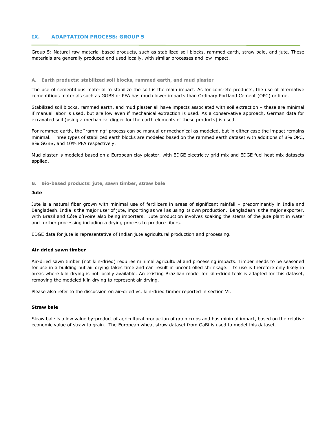# **IX. ADAPTATION PROCESS: GROUP 5**

<span id="page-28-0"></span>Group 5: Natural raw material-based products, such as stabilized soil blocks, rammed earth, straw bale, and jute. These materials are generally produced and used locally, with similar processes and low impact.

#### **A. Earth products: stabilized soil blocks, rammed earth, and mud plaster**

The use of cementitious material to stabilize the soil is the main impact. As for concrete products, the use of alternative cementitious materials such as GGBS or PFA has much lower impacts than Ordinary Portland Cement (OPC) or lime.

<span id="page-28-1"></span>Stabilized soil blocks, rammed earth, and mud plaster all have impacts associated with soil extraction – these are minimal if manual labor is used, but are low even if mechanical extraction is used. As a conservative approach, German data for excavated soil (using a mechanical digger for the earth elements of these products) is used.

For rammed earth, the "ramming" process can be manual or mechanical as modeled, but in either case the impact remains minimal. Three types of stabilized earth blocks are modeled based on the rammed earth dataset with additions of 8% OPC, 8% GGBS, and 10% PFA respectively.

Mud plaster is modeled based on a European clay plaster, with EDGE electricity grid mix and EDGE fuel heat mix datasets applied.

**B. Bio-based products: jute, sawn timber, straw bale**

#### **Jute**

<span id="page-28-2"></span>Jute is a natural fiber grown with minimal use of fertilizers in areas of significant rainfall – predominantly in India and Bangladesh. India is the major user of jute, importing as well as using its own production. Bangladesh is the major exporter, with Brazil and Côte d'Ivoire also being importers. Jute production involves soaking the stems of the jute plant in water and further processing including a drying process to produce fibers.

EDGE data for jute is representative of Indian jute agricultural production and processing.

#### **Air-dried sawn timber**

Air-dried sawn timber (not kiln-dried) requires minimal agricultural and processing impacts. Timber needs to be seasoned for use in a building but air drying takes time and can result in uncontrolled shrinkage. Its use is therefore only likely in areas where kiln drying is not locally available. An existing Brazilian model for kiln-dried teak is adapted for this dataset, removing the modeled kiln drying to represent air drying.

Please also refer to the discussion on air-dried vs. kiln-dried timber reported in section [VI.](#page-19-2)

#### **Straw bale**

Straw bale is a low value by-product of agricultural production of grain crops and has minimal impact, based on the relative economic value of straw to grain. The European wheat straw dataset from GaBi is used to model this dataset.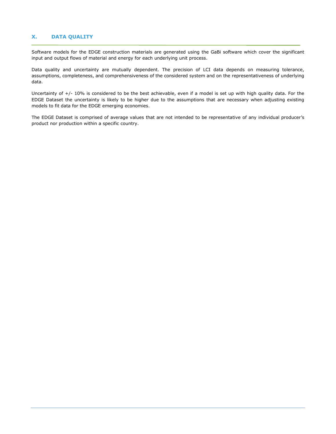# **X. DATA QUALITY**

Software models for the EDGE construction materials are generated using the GaBi software which cover the significant input and output flows of material and energy for each underlying unit process.

<span id="page-29-0"></span>Data quality and uncertainty are mutually dependent. The precision of LCI data depends on measuring tolerance, assumptions, completeness, and comprehensiveness of the considered system and on the representativeness of underlying data.

Uncertainty of +/- 10% is considered to be the best achievable, even if a model is set up with high quality data. For the EDGE Dataset the uncertainty is likely to be higher due to the assumptions that are necessary when adjusting existing models to fit data for the EDGE emerging economies.

The EDGE Dataset is comprised of average values that are not intended to be representative of any individual producer's product nor production within a specific country.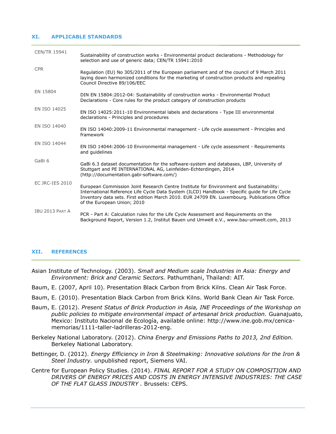#### **XI. APPLICABLE STANDARDS**

<span id="page-30-0"></span>

| <b>CEN/TR 15941</b> | Sustainability of construction works - Environmental product declarations - Methodology for<br>selection and use of generic data; CEN/TR 15941:2010                                                                                                                                                                      |
|---------------------|--------------------------------------------------------------------------------------------------------------------------------------------------------------------------------------------------------------------------------------------------------------------------------------------------------------------------|
| <b>CPR</b>          | Regulation (EU) No 305/2011 of the European parliament and of the council of 9 March 2011<br>laying down harmonized conditions for the marketing of construction products and repealing<br>Council Directive 89/106/EEC                                                                                                  |
| EN 15804            | DIN EN 15804:2012-04: Sustainability of construction works - Environmental Product<br>Declarations - Core rules for the product category of construction products                                                                                                                                                        |
| EN ISO 14025        | EN ISO 14025:2011-10 Environmental labels and declarations - Type III environmental<br>declarations - Principles and procedures                                                                                                                                                                                          |
| EN ISO 14040        | EN ISO 14040:2009-11 Environmental management - Life cycle assessment - Principles and<br>framework                                                                                                                                                                                                                      |
| EN ISO 14044        | EN ISO 14044:2006-10 Environmental management - Life cycle assessment - Requirements<br>and quidelines                                                                                                                                                                                                                   |
| GaBi 6              | GaBi 6.3 dataset documentation for the software-system and databases, LBP, University of<br>Stuttgart and PE INTERNATIONAL AG, Leinfelden-Echterdingen, 2014<br>(http://documentation.gabi-software.com/)                                                                                                                |
| EC JRC-IES 2010     | European Commission Joint Research Centre Institute for Environment and Sustainability:<br>International Reference Life Cycle Data System (ILCD) Handbook - Specific guide for Life Cycle<br>Inventory data sets. First edition March 2010. EUR 24709 EN. Luxembourg. Publications Office<br>of the European Union; 2010 |
| IBU 2013 PART A     | PCR - Part A: Calculation rules for the Life Cycle Assessment and Requirements on the<br>Background Report, Version 1.2, Institut Bauen und Umwelt e.V., www.bau-umwelt.com, 2013                                                                                                                                        |

#### **XII. REFERENCES**

- <span id="page-30-1"></span>Asian Institute of Technology. (2003). *Small and Medium scale Industries in Asia: Energy and Environment: Brick and Ceramic Sectors.* Pathumthani, Thailand: AIT.
- Baum, E. (2007, April 10). Presentation Black Carbon from Brick Kilns. Clean Air Task Force.
- Baum, E. (2010). Presentation Black Carbon from Brick Kilns. World Bank Clean Air Task Force.
- Baum, E. (2012). *Present Status of Brick Production in Asia, INE Proceedings of the Workshop on public policies to mitigate environmental impact of artesanal brick production.* Guanajuato, Mexico: Instituto Nacional de Ecología, available online: http://www.ine.gob.mx/cenicamemorias/1111-taller-ladrilleras-2012-eng.
- Berkeley National Laboratory. (2012). *China Energy and Emissions Paths to 2013, 2nd Edition.* Berkeley National Laboratory.
- Bettinger, D. (2012). *Energy Efficiency in Iron & Steelmaking: Innovative solutions for the Iron & Steel Industry.* unpublished report, Siemens VAI.
- Centre for European Policy Studies. (2014). *FINAL REPORT FOR A STUDY ON COMPOSITION AND DRIVERS OF ENERGY PRICES AND COSTS IN ENERGY INTENSIVE INDUSTRIES: THE CASE OF THE FLAT GLASS INDUSTRY .* Brussels: CEPS.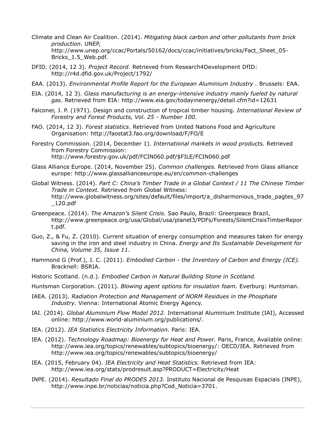- Climate and Clean Air Coalition. (2014). *Mitigating black carbon and other pollutants from brick production.* UNEP, http://www.unep.org/ccac/Portals/50162/docs/ccac/initiatives/bricks/Fact\_Sheet\_05- Bricks\_1.5\_Web.pdf.
- DFID. (2014, 12 3). *Project Record*. Retrieved from Research4Development DfID: http://r4d.dfid.gov.uk/Project/1792/
- EAA. (2013). *Environmental Profile Report for the European Aluminium Industry .* Brussels: EAA.
- EIA. (2014, 12 3). *Glass manufacturing is an energy-intensive industry mainly fueled by natural gas*. Retrieved from EIA: http://www.eia.gov/todayinenergy/detail.cfm?id=12631
- Falconer, J. P. (1971). Design and construction of tropical timber housing. *International Review of Forestry and Forest Products, Vol. 25 - Number 100*.
- FAO. (2014, 12 3). *Forest statistics*. Retrieved from United Nations Food and Agriculture Organisation: http://faostat3.fao.org/download/F/FO/E
- Forestry Commission. (2014, December 1). *International markets in wood products.* Retrieved from Forestry Commission: http://www.forestry.gov.uk/pdf/FCIN060.pdf/\$FILE/FCIN060.pdf
- Glass Alliance Europe. (2014, November 25). *Common challenges.* Retrieved from Glass alliance europe: http://www.glassallianceeurope.eu/en/common-challenges
- Global Witness. (2014). *Part C: China's Timber Trade in a Global Context / 11 The Chinese Timber Trade in Context.* Retrieved from Global Witness: http://www.globalwitness.org/sites/default/files/import/a\_disharmonious\_trade\_pagtes\_97  $\_120.pdf$
- Greenpeace. (2014). *The Amazon's Silent Crisis.* Sao Paulo, Brazil: Greenpeace Brazil, http://www.greenpeace.org/usa/Global/usa/planet3/PDFs/Forests/SilentCrisisTimberRepor t.pdf.
- Guo, Z., & Fu, Z. (2010). Current situation of energy consumption and measures taken for energy saving in the iron and steel industry in China. *Energy and Its Sustainable Development for China, Volume 35, Issue 11*.
- Hammond G (Prof.), J. C. (2011). *Embodied Carbon - the Inventory of Carbon and Energy (ICE).* Bracknell: BSRIA.
- Historic Scotland. (n.d.). *Embodied Carbon in Natural Building Stone in Scotland.*
- Huntsman Corporation. (2011). *Blowing agent options for insulation foam.* Everburg: Huntsman.
- IAEA. (2013). *Radiation Protection and Management of NORM Residues in the Phosphate Industry.* Vienna: International Atomic Energy Agency.
- IAI. (2014). *Global Aluminium Flow Model 2012.* International Aluminium Institute (IAI), Accessed online: http://www.world-aluminium.org/publications/.
- IEA. (2012). *IEA Statistics Electricity Information.* Paris: IEA.
- IEA. (2012). *Technology Roadmap: Bioenergy for Heat and Power.* Paris, France, Available online: http://www.iea.org/topics/renewables/subtopics/bioenergy/: OECD/IEA. Retrieved from http://www.iea.org/topics/renewables/subtopics/bioenergy/
- IEA. (2015, February 04). *IEA Electricity and Heat Statistics.* Retrieved from IEA: http://www.iea.org/stats/prodresult.asp?PRODUCT=Electricity/Heat
- INPE. (2014). *Resultado Final do PRODES 2013.* Instituto Nacional de Pesquisas Espaciais (INPE), http://www.inpe.br/noticias/noticia.php?Cod\_Noticia=3701.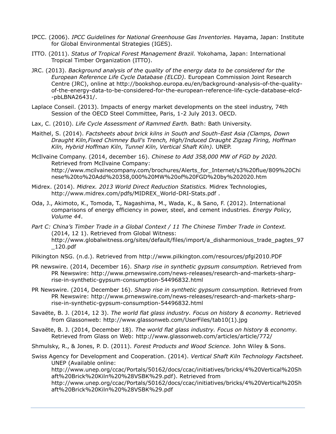- IPCC. (2006). *IPCC Guidelines for National Greenhouse Gas Inventories.* Hayama, Japan: Institute for Global Environmental Strategies (IGES).
- ITTO. (2011). *Status of Tropical Forest Management Brazil.* Yokohama, Japan: International Tropical Timber Organization (ITTO).
- JRC. (2013). *Background analysis of the quality of the energy data to be considered for the European Reference Life Cycle Database (ELCD).* European Commission Joint Research Centre (JRC), online at http://bookshop.europa.eu/en/background-analysis-of-the-qualityof-the-energy-data-to-be-considered-for-the-european-reference-life-cycle-database-elcd- -pbLBNA26431/.
- Laplace Conseil. (2013). Impacts of energy market developments on the steel industry, 74th Session of the OECD Steel Committee, Paris, 1-2 July 2013. OECD.
- Lax, C. (2010). *Life Cycle Assessment of Rammed Earth.* Bath: Bath University.
- Maithel, S. (2014). *Factsheets about brick kilns in South and South-East Asia (Clamps, Down Draught Kiln,Fixed Chimney Bull's Trench, High/Induced Draught Zigzag Firing, Hoffman Kiln, Hybrid Hoffman Kiln, Tunnel Kiln, Vertical Shaft Kiln).* UNEP.
- McIlvaine Company. (2014, december 16). *Chinese to Add 358,000 MW of FGD by 2020.* Retrieved from McIlvaine Company: http://www.mcilvainecompany.com/brochures/Alerts\_for\_Internet/s3%20flue/809%20Chi nese%20to%20Add%20358,000%20MW%20of%20FGD%20by%202020.htm
- Midrex. (2014). *Midrex. 2013 World Direct Reduction Statistics.* Midrex Technologies, http://www.midrex.com/pdfs/MIDREX\_World-DRI-Stats.pdf .
- Oda, J., Akimoto, K., Tomoda, T., Nagashima, M., Wada, K., & Sano, F. (2012). International comparisons of energy efficiency in power, steel, and cement industries. *Energy Policy, Volume 44*.
- *Part C: China's Timber Trade in a Global Context / 11 The Chinese Timber Trade in Context.* (2014, 12 1). Retrieved from Global Witness: http://www.globalwitness.org/sites/default/files/import/a\_disharmonious\_trade\_pagtes\_97 \_120.pdf
- Pilkington NSG. (n.d.). Retrieved from http://www.pilkington.com/resources/pfgi2010.PDF
- PR newswire. (2014, December 16). *Sharp rise in synthetic gypsum consumption.* Retrieved from PR Newswire: http://www.prnewswire.com/news-releases/research-and-markets-sharprise-in-synthetic-gypsum-consumption-54496832.html
- PR Newswire. (2014, December 16). *Sharp rise in synthetic gypsum consumption.* Retrieved from PR Newswire: http://www.prnewswire.com/news-releases/research-and-markets-sharprise-in-synthetic-gypsum-consumption-54496832.html
- Savaëte, B. J. (2014, 12 3). *The world flat glass industry. Focus on history & economy*. Retrieved from Glassonweb: http://www.glassonweb.com/UserFiles/tab10(1).jpg
- Savaëte, B. J. (2014, December 18). *The world flat glass industry. Focus on history & economy.* Retrieved from Glass on Web: http://www.glassonweb.com/articles/article/772/

Shmulsky, R., & Jones, P. D. (2011). *Forest Products and Wood Science.* John Wiley & Sons.

Swiss Agency for Development and Cooperation. (2014). *Vertical Shaft Kiln Technology Factsheet.* UNEP (Available online:

http://www.unep.org/ccac/Portals/50162/docs/ccac/initiatives/bricks/4%20Vertical%20Sh aft%20Brick%20Kiln%20%28VSBK%29.pdf). Retrieved from

http://www.unep.org/ccac/Portals/50162/docs/ccac/initiatives/bricks/4%20Vertical%20Sh aft%20Brick%20Kiln%20%28VSBK%29.pdf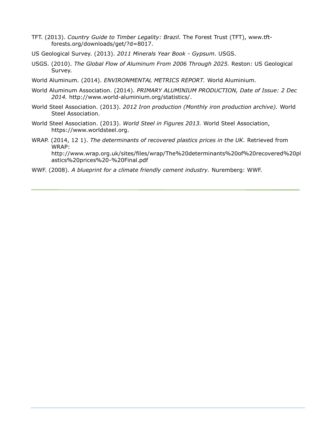- TFT. (2013). *Country Guide to Timber Legality: Brazil.* The Forest Trust (TFT), www.tftforests.org/downloads/get/?d=8017.
- US Geological Survey. (2013). *2011 Minerals Year Book - Gypsum.* USGS.
- USGS. (2010). *The Global Flow of Aluminum From 2006 Through 2025.* Reston: US Geological Survey.
- World Aluminum. (2014). *ENVIRONMENTAL METRICS REPORT.* World Aluminium.
- World Aluminum Association. (2014). *PRIMARY ALUMINIUM PRODUCTION, Date of Issue: 2 Dec 2014.* http://www.world-aluminium.org/statistics/.
- World Steel Association. (2013). *2012 Iron production (Monthly iron production archive).* World Steel Association.
- World Steel Association. (2013). *World Steel in Figures 2013.* World Steel Association, https://www.worldsteel.org.
- WRAP. (2014, 12 1). *The determinants of recovered plastics prices in the UK.* Retrieved from WRAP: http://www.wrap.org.uk/sites/files/wrap/The%20determinants%20of%20recovered%20pl astics%20prices%20-%20Final.pdf
- WWF. (2008). *A blueprint for a climate friendly cement industry.* Nuremberg: WWF.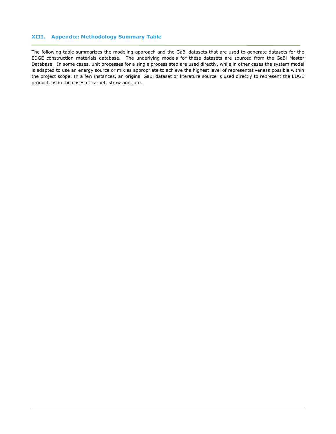# **XIII. Appendix: Methodology Summary Table**

<span id="page-34-0"></span>The following table summarizes the modeling approach and the GaBi datasets that are used to generate datasets for the EDGE construction materials database. The underlying models for these datasets are sourced from the GaBi Master Database. In some cases, unit processes for a single process step are used directly, while in other cases the system model is adapted to use an energy source or mix as appropriate to achieve the highest level of representativeness possible within the project scope. In a few instances, an original GaBi dataset or literature source is used directly to represent the EDGE product, as in the cases of carpet, straw and jute.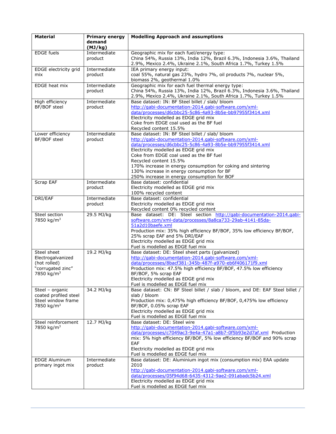| <b>Material</b>        | <b>Primary energy</b><br>demand<br>(MJ/kg) | <b>Modelling Approach and assumptions</b>                                                                                                  |
|------------------------|--------------------------------------------|--------------------------------------------------------------------------------------------------------------------------------------------|
| <b>EDGE</b> fuels      | Intermediate                               | Geographic mix for each fuel/energy type:                                                                                                  |
|                        | product                                    | China 54%, Russia 13%, India 12%, Brazil 6.3%, Indonesia 3.6%, Thailand<br>2.9%, Mexico 2.4%, Ukraine 2.1%, South Africa 1.7%, Turkey 1.5% |
| EDGE electricity grid  | Intermediate                               | IEA primary energy input:                                                                                                                  |
| mix                    | product                                    | coal 55%, natural gas 23%, hydro 7%, oil products 7%, nuclear 5%,<br>biomass 2%, geothermal 1.0%                                           |
| EDGE heat mix          | Intermediate                               | Geographic mix for each fuel thermal energy type:                                                                                          |
|                        | product                                    | China 54%, Russia 13%, India 12%, Brazil 6.3%, Indonesia 3.6%, Thailand<br>2.9%, Mexico 2.4%, Ukraine 2.1%, South Africa 1.7%, Turkey 1.5% |
| High efficiency        | Intermediate                               | Base dataset: IN: BF Steel billet / slab/ bloom                                                                                            |
| BF/BOF steel           | product                                    | http://gabi-documentation-2014.gabi-software.com/xml-                                                                                      |
|                        |                                            | data/processes/d6cbbc25-5c86-4a93-8b5e-bb97955f3414.xml                                                                                    |
|                        |                                            | Electricity modelled as EDGE grid mix                                                                                                      |
|                        |                                            | Coke from EDGE coal used as the BF fuel                                                                                                    |
|                        |                                            | Recycled content 15.5%                                                                                                                     |
| Lower efficiency       | Intermediate                               | Base dataset: IN: BF Steel billet / slab/ bloom                                                                                            |
| BF/BOF steel           | product                                    | http://gabi-documentation-2014.gabi-software.com/xml-                                                                                      |
|                        |                                            | data/processes/d6cbbc25-5c86-4a93-8b5e-bb97955f3414.xml                                                                                    |
|                        |                                            | Electricity modelled as EDGE grid mix                                                                                                      |
|                        |                                            | Coke from EDGE coal used as the BF fuel                                                                                                    |
|                        |                                            | Recycled content 15.5%                                                                                                                     |
|                        |                                            | 170% increase in energy consumption for coking and sintering                                                                               |
|                        |                                            | 130% increase in energy consumption for BF                                                                                                 |
|                        |                                            | 250% increase in energy consumption for BOF                                                                                                |
| Scrap EAF              | Intermediate                               | Base dataset: confidential                                                                                                                 |
|                        | product                                    | Electricity modelled as EDGE grid mix                                                                                                      |
|                        |                                            | 100% recycled content                                                                                                                      |
| DRI/EAF                | Intermediate                               | Base dataset: confidential                                                                                                                 |
|                        | product                                    | Electricity modelled as EDGE grid mix                                                                                                      |
|                        |                                            | Recycled content 0% recycled content                                                                                                       |
| Steel section          | 29.5 MJ/kg                                 | Base dataset: DE: Steel section http://gabi-documentation-2014.gabi-                                                                       |
| 7850 kg/m <sup>3</sup> |                                            | software.com/xml-data/processes/8a8ca733-29ab-4141-85da-                                                                                   |
|                        |                                            | 51a2d10baefe.xml                                                                                                                           |
|                        |                                            | Production mix: 35% high efficiency BF/BOF, 35% low efficiency BF/BOF,<br>25% scrap EAF and 5% DRI/EAF                                     |
|                        |                                            | Electricity modelled as EDGE grid mix                                                                                                      |
|                        |                                            | Fuel is modelled as EDGE fuel mix                                                                                                          |
| Steel sheet            | 19.2 MJ/kg                                 | Base dataset: DE: Steel sheet parts (galvanized)                                                                                           |
| Electrogalvanized      |                                            | http://gabi-documentation-2014.gabi-software.com/xml-                                                                                      |
| (hot rolled)           |                                            | data/processes/8bacf381-345b-487f-a970-eb6f406171f9.xml                                                                                    |
| "corrugated zinc"      |                                            | Production mix: 47.5% high efficiency BF/BOF, 47.5% low efficiency                                                                         |
| 7850 kg/m <sup>3</sup> |                                            | BF/BOF, 5% scrap EAF                                                                                                                       |
|                        |                                            | Electricity modelled as EDGE grid mix                                                                                                      |
|                        |                                            | Fuel is modelled as EDGE fuel mix                                                                                                          |
| Steel - organic        | 34.2 MJ/kg                                 | Base dataset: CN: BF Steel billet / slab / bloom, and DE: EAF Steel billet /                                                               |
| coated profiled steel  |                                            | slab / bloom                                                                                                                               |
| Steel window frame     |                                            | Production mix: 0,475% high efficiency BF/BOF, 0,475% low efficiency                                                                       |
| 7850 kg/m <sup>3</sup> |                                            | BF/BOF, 0.05% scrap EAF                                                                                                                    |
|                        |                                            | Electricity modelled as EDGE grid mix                                                                                                      |
|                        |                                            | Fuel is modelled as EDGE fuel mix                                                                                                          |
| Steel reinforcement    | 12.7 MJ/kg                                 | Base dataset: DE: Steel wire                                                                                                               |
| 7850 kg/m <sup>3</sup> |                                            | http://gabi-documentation-2014.gabi-software.com/xml-                                                                                      |
|                        |                                            | data/processes/c7049ac3-9e4a-47a1-a8b7-0f5b93e2d7af.xml Production                                                                         |
|                        |                                            | mix: 5% high efficiency BF/BOF, 5% low efficiency BF/BOF and 90% scrap                                                                     |
|                        |                                            | EAF                                                                                                                                        |
|                        |                                            | Electricity modelled as EDGE grid mix                                                                                                      |
|                        |                                            | Fuel is modelled as EDGE fuel mix                                                                                                          |
| <b>EDGE Aluminum</b>   | Intermediate                               | Base dataset: DE: Aluminium ingot mix (consumption mix) EAA update                                                                         |
| primary ingot mix      | product                                    | 2010                                                                                                                                       |
|                        |                                            | http://gabi-documentation-2014.gabi-software.com/xml-                                                                                      |
|                        |                                            | data/processes/05f94d68-6435-4312-9ae2-091abadc5b24.xml                                                                                    |
|                        |                                            | Electricity modelled as EDGE grid mix                                                                                                      |
|                        |                                            | Fuel is modelled as EDGE fuel mix                                                                                                          |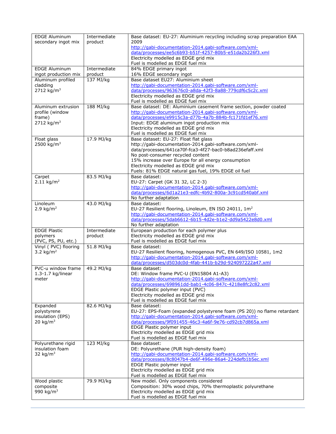| <b>EDGE Aluminum</b><br>secondary ingot mix                               | Intermediate<br>product | Base dataset: EU-27: Aluminium recycling including scrap preparation EAA<br>2009<br>http://gabi-documentation-2014.gabi-software.com/xml-                                                                                                                                                                                                             |
|---------------------------------------------------------------------------|-------------------------|-------------------------------------------------------------------------------------------------------------------------------------------------------------------------------------------------------------------------------------------------------------------------------------------------------------------------------------------------------|
|                                                                           |                         | data/processes/ee5c6b93-b51f-4257-80b5-e51da2b226f3.xml<br>Electricity modelled as EDGE grid mix<br>Fuel is modelled as EDGE fuel mix                                                                                                                                                                                                                 |
| <b>EDGE Aluminum</b><br>ingot production mix                              | Intermediate<br>product | 84% EDGE primary ingot<br>16% EDGE secondary ingot                                                                                                                                                                                                                                                                                                    |
| Aluminum profiled<br>cladding<br>2712 $kg/m3$                             | 137 MJ/kg               | Base dataset EU27: Aluminium sheet<br>http://gabi-documentation-2014.gabi-software.com/xml-<br>data/processes/963676c0-a8da-42f3-8a88-779cdf6c5c2c.xml<br>Electricity modelled as EDGE grid mix<br>Fuel is modelled as EDGE fuel mix                                                                                                                  |
| Aluminum extrusion<br>profile (window<br>frame)<br>2712 kg/m <sup>3</sup> | 188 MJ/kg               | Base dataset: DE: Aluminium casement frame section, powder coated<br>http://gabi-documentation-2014.gabi-software.com/xml-<br>data/processes/e9915c3a-d77b-4a7b-884b-fc171fd1ef76.xml<br>Input: EDGE aluminum ingot production mix<br>Electricity modelled as EDGE grid mix<br>Fuel is modelled as EDGE fuel mix                                      |
| Float glass<br>2500 kg/m <sup>3</sup>                                     | 17.9 MJ/kg              | Base dataset: EU-27: Float flat glass<br>http://gabi-documentation-2014.gabi-software.com/xml-<br>data/processes/641ca70f-fca3-4f27-bac0-b8ad236efaff.xml<br>No post-consumer recycled content<br>15% increase over Europe for all energy consumption<br>Electricity modelled as EDGE grid mix<br>Fuels: 81% EDGE natural gas fuel, 19% EDGE oil fuel |
| Carpet<br>2.11 kg/m <sup>2</sup>                                          | 83.5 MJ/kg              | Base dataset:<br>EU-27: Carpet (GK 31 32, LC 2-3)<br>http://gabi-documentation-2014.gabi-software.com/xml-<br>data/processes/6d1a21e3-edfc-4b92-800a-3c91cd540abf.xml<br>No further adaptation                                                                                                                                                        |
| <b>Linoleum</b><br>2.9 $kg/m2$                                            | 43.0 MJ/kg              | Base dataset:<br>EU-27 Resilient flooring, Linoleum, EN ISO 24011, 1m <sup>2</sup><br>http://gabi-documentation-2014.gabi-software.com/xml-<br>data/processes/5dab6612-6b15-4d2e-b1e2-dd9a5422e8d0.xml<br>No further adaptation                                                                                                                       |
| <b>EDGE Plastic</b><br>polymers<br>(PVC, PS, PU, etc.)                    | Intermediate<br>product | European production for each polymer plus<br>Electricity modelled as EDGE grid mix<br>Fuel is modelled as EDGE fuel mix                                                                                                                                                                                                                               |
| Vinyl (PVC) flooring<br>3.2 $kg/m2$                                       | 51.8 MJ/kg              | Base dataset:<br>EU-27 Resilient flooring, homogenous PVC, EN 649/ISO 10581, 1m2<br>http://gabi-documentation-2014.gabi-software.com/xml-<br>data/processes/d503dc0d-4fab-441b-b29d-924097222a47.xml                                                                                                                                                  |
| PVC-u window frame<br>$1.3 - 1.7$ kg/linear<br>meter                      | 49.2 MJ/kg              | Base dataset:<br>DE: Window frame PVC-U (EN15804 A1-A3)<br>http://gabi-documentation-2014.gabi-software.com/xml-<br>data/processes/698961dd-bab1-4c06-847c-4218e8fc2c82.xml<br>EDGE Plastic polymer input (PVC)<br>Electricity modelled as EDGE grid mix<br>Fuel is modelled as EDGE fuel mix                                                         |
| Expanded<br>polystyrene<br>insulation (EPS)<br>20 $kg/m3$                 | 82.6 MJ/kg              | Base dataset:<br>EU-27: EPS-Foam (expanded polystyrene foam (PS 20)) no flame retardant<br>http://gabi-documentation-2014.gabi-software.com/xml-<br>data/processes/9f091455-46c3-4a6f-9e76-cd92cb7d865a.xml<br>EDGE Plastic polymer input<br>Electricity modelled as EDGE grid mix<br>Fuel is modelled as EDGE fuel mix                               |
| Polyurethane rigid<br>insulation foam<br>32 kg/ $m3$                      | 123 MJ/kg               | Base dataset:<br>DE: Polyurethane (PUR high-density foam)<br>http://gabi-documentation-2014.gabi-software.com/xml-<br>data/processes/8c8047b4-de6f-496e-86a4-224defb1b5ec.xml<br>EDGE Plastic polymer input<br>Electricity modelled as EDGE grid mix<br>Fuel is modelled as EDGE fuel mix                                                             |
| Wood plastic<br>composite<br>990 kg/m <sup>3</sup>                        | 79.9 MJ/kg              | New model. Only components considered<br>Composition: 30% wood chips, 70% thermoplastic polyurethane<br>Electricity modelled as EDGE grid mix<br>Fuel is modelled as EDGE fuel mix                                                                                                                                                                    |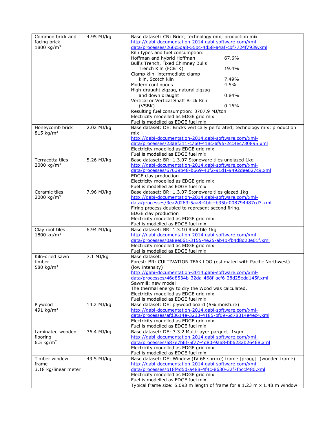| Common brick and<br>facing brick<br>1800 kg/m <sup>3</sup> | 4.95 MJ/kg | Base dataset: CN: Brick; technology mix; production mix<br>http://gabi-documentation-2014.gabi-software.com/xml-<br>data/processes/266c5da8-55bc-4d58-a4af-cbf7724f7939.xml<br>Kiln types and fuel consumption:<br>Hoffman and hybrid Hoffman<br>67.6%<br>Bull's Trench, Fixed Chimney Bulls<br>Trench Kiln (FCBTK)<br>19.4%<br>Clamp kiln, intermediate clamp<br>kiln, Scotch kiln<br>7.49%<br>Modern continuous<br>4.5%<br>High-draught zigzag, natural zigzag<br>and down draught<br>0.84%<br>Vertical or Vertical Shaft Brick Kiln<br>0.16%<br>(VSBK)<br>Resulting fuel consumption: 3707.9 MJ/ton<br>Electricity modelled as EDGE grid mix<br>Fuel is modelled as EDGE fuel mix |
|------------------------------------------------------------|------------|--------------------------------------------------------------------------------------------------------------------------------------------------------------------------------------------------------------------------------------------------------------------------------------------------------------------------------------------------------------------------------------------------------------------------------------------------------------------------------------------------------------------------------------------------------------------------------------------------------------------------------------------------------------------------------------|
| Honeycomb brick<br>815 kg/m <sup>3</sup>                   | 2.02 MJ/kg | Base dataset: DE: Bricks vertically perforated; technology mix; production<br>mix<br>http://gabi-documentation-2014.gabi-software.com/xml-<br>data/processes/23a8f311-c760-418c-af95-2cc4ec730895.xml<br>Electricity modelled as EDGE grid mix<br>Fuel is modelled as EDGE fuel mix                                                                                                                                                                                                                                                                                                                                                                                                  |
| Terracotta tiles<br>2000 kg/m <sup>3</sup>                 | 5.26 MJ/kg | Base dataset: BR: 1.3.07 Stoneware tiles unglazed 1kg<br>http://gabi-documentation-2014.gabi-software.com/xml-<br>data/processes/67639b48-b669-43f2-91d1-9492dee027c9.xml<br>EDGE clay production<br>Electricity modelled as EDGE grid mix<br>Fuel is modelled as EDGE fuel mix                                                                                                                                                                                                                                                                                                                                                                                                      |
| Ceramic tiles<br>2000 kg/m <sup>3</sup>                    | 7.96 MJ/kg | Base dataset: BR: 1.3.07 Stoneware tiles glazed 1kg<br>http://gabi-documentation-2014.gabi-software.com/xml-<br>data/processes/3ea2d263-5aa8-4bbc-b35b-008794487cd3.xml<br>Firing process doubled to represent second firing.<br>EDGE clay production<br>Electricity modelled as EDGE grid mix<br>Fuel is modelled as EDGE fuel mix                                                                                                                                                                                                                                                                                                                                                  |
| Clay roof tiles<br>1800 kg/m <sup>3</sup>                  | 6.94 MJ/kg | Base dataset: BR: 1.3.10 Roof tile 1kg<br>http://gabi-documentation-2014.gabi-software.com/xml-<br>data/processes/0a8ee061-3155-4e25-ab4b-fb4d8d20e01f.xml<br>Electricity modelled as EDGE grid mix<br>Fuel is modelled as EDGE fuel mix                                                                                                                                                                                                                                                                                                                                                                                                                                             |
| Kiln-dried sawn<br>timber<br>580 kg/m <sup>3</sup>         | 7.1 MJ/kg  | Base dataset:<br>Forest: BR: CULTIVATION TEAK LOG (estimated with Pacific Northwest)<br>(low intensity)<br>http://gabi-documentation-2014.gabi-software.com/xml-<br>data/processes/46d8534b-32da-468f-acf6-28d25edd145f.xml<br>Sawmill: new model<br>The thermal energy to dry the Wood was calculated.<br>Electricity modelled as EDGE grid mix<br>Fuel is modelled as EDGE fuel mix                                                                                                                                                                                                                                                                                                |
| Plywood<br>491 kg/m <sup>3</sup>                           | 14.2 MJ/kg | Base dataset: DE: plywood board (5% moisture)<br>http://gabi-documentation-2014.gabi-software.com/xml-<br>data/processes/afd3614e-3233-4185-bf09-6d78314e4ec4.xml<br>Electricity modelled as EDGE grid mix<br>Fuel is modelled as EDGE fuel mix                                                                                                                                                                                                                                                                                                                                                                                                                                      |
| Laminated wooden<br>flooring<br>6.5 $kg/m2$                | 36.4 MJ/kg | Base dataset: DE: 3.3.2 Multi-layer parquet 1sqm<br>http://gabi-documentation-2014.gabi-software.com/xml-<br>data/processes/587e7b6f-5f77-4d80-9aa8-bb6232b26468.xml<br>Electricity modelled as EDGE grid mix<br>Fuel is modelled as EDGE fuel mix                                                                                                                                                                                                                                                                                                                                                                                                                                   |
| Timber window<br>frame<br>3.18 kg/linear meter             | 49.5 MJ/kg | Base dataset: DE: Window (IV 68 spruce) frame [p-agg] (wooden frame)<br>http://gabi-documentation-2014.gabi-software.com/xml-<br>data/processes/b18f4d5d-a488-4f4c-8630-32f7fbccf480.xml<br>Electricity modelled as EDGE grid mix<br>Fuel is modelled as EDGE fuel mix<br>Typical frame size: 5.093 m length of frame for a 1.23 m x 1.48 m window                                                                                                                                                                                                                                                                                                                                   |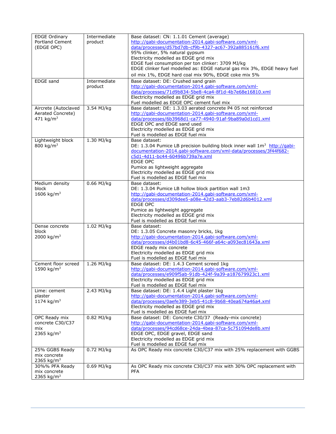| <b>EDGE Ordinary</b><br>Portland Cement<br>(EDGE OPC)              | Intermediate<br>product | Base dataset: CN: 1.1.01 Cement (average)<br>http://gabi-documentation-2014.gabi-software.com/xml-<br>data/processes/d57bd7db-cf9b-4327-ac67-392a885161f6.xml<br>95% clinker, 5% natural gypsum<br>Electricity modelled as EDGE grid mix<br>EDGE fuel consumption per ton clinker: 3709 MJ/kg<br>EDGE clinker fuel modelled as: EDGE natural gas mix 3%, EDGE heavy fuel<br>oil mix 1%, EDGE hard coal mix 90%, EDGE coke mix 5% |
|--------------------------------------------------------------------|-------------------------|----------------------------------------------------------------------------------------------------------------------------------------------------------------------------------------------------------------------------------------------------------------------------------------------------------------------------------------------------------------------------------------------------------------------------------|
| <b>EDGE</b> sand                                                   | Intermediate<br>product | Base dataset: DE: Crushed sand grain<br>http://gabi-documentation-2014.gabi-software.com/xml-<br>data/processes/71d9b834-5be8-4ca4-8f1d-4b7e68e16810.xml<br>Electricity modelled as EDGE grid mix<br>Fuel modelled as EDGE OPC cement fuel mix                                                                                                                                                                                   |
| Aircrete (Autoclaved<br>Aerated Concrete)<br>471 kg/m <sup>3</sup> | 3.54 MJ/kg              | Base dataset: DE: 1.3.03 aerated concrete P4 05 not reinforced<br>http://gabi-documentation-2014.gabi-software.com/xml-<br>data/processes/6b3968d1-ca77-4940-91af-9ba89a0d1cd1.xml<br>EDGE OPC and EDGE sand used<br>Electricity modelled as EDGE grid mix<br>Fuel is modelled as EDGE fuel mix                                                                                                                                  |
| Lightweight block<br>800 kg/m <sup>3</sup>                         | 1.30 MJ/kg              | Base dataset:<br>DE: 1.3.04 Pumice LB precision building block inner wall $1m^3$ http://gabi-<br>documentation-2014.gabi-software.com/xml-data/processes/3f44f682-<br>c5d1-4d11-bc44-60496b739a7e.xml<br><b>EDGE OPC</b><br>Pumice as lightweight aggregate<br>Electricity modelled as EDGE grid mix<br>Fuel is modelled as EDGE fuel mix                                                                                        |
| Medium density<br>block<br>1606 kg/m <sup>3</sup>                  | 0.66 MJ/kg              | Base dataset:<br>DE: 1.3.04 Pumice LB hollow block partition wall 1m3<br>http://gabi-documentation-2014.gabi-software.com/xml-<br>data/processes/d309dee5-a08e-42d3-aab3-7eb82d6b4012.xml<br><b>EDGE OPC</b><br>Pumice as lightweight aggregate<br>Electricity modelled as EDGE grid mix<br>Fuel is modelled as EDGE fuel mix                                                                                                    |
| Dense concrete<br>block<br>2000 kg/m <sup>3</sup>                  | 1.02 MJ/kg              | Base dataset:<br>DE: 1.3.05 Concrete masonry bricks, 1kg<br>http://gabi-documentation-2014.gabi-software.com/xml-<br>data/processes/d4b01bd8-6c45-466f-a64c-a093ec81643a.xml<br>EDGE ready mix concrete<br>Electricity modelled as EDGE grid mix<br>Fuel is modelled as EDGE fuel mix                                                                                                                                            |
| Cement floor screed<br>1590 kg/m <sup>3</sup>                      | 1.26 MJ/kg              | Base dataset: DE: 1.4.3 Cement screed 1kg<br>http://gabi-documentation-2014.gabi-software.com/xml-<br>data/processes/e909f5ab-91db-424f-9a39-a187679923c1.xml<br>Electricity modelled as EDGE grid mix<br>Fuel is modelled as EDGE fuel mix                                                                                                                                                                                      |
| Lime: cement<br>plaster<br>1174 kg/m <sup>3</sup>                  | 2.43 MJ/kg              | Base dataset: DE: 1.4.4 Light plaster 1kg<br>http://gabi-documentation-2014.gabi-software.com/xml-<br>data/processes/0aefe389-3eb5-41c8-9b68-40ea674a46a4.xml<br>Electricity modelled as EDGE grid mix<br>Fuel is modelled as EDGE fuel mix                                                                                                                                                                                      |
| OPC Ready mix<br>concrete C30/C37<br>mix<br>2365 kg/m <sup>3</sup> | 0.82 MJ/kg              | Base dataset: DE: Concrete C30/37 (Ready-mix concrete)<br>http://gabi-documentation-2014.gabi-software.com/xml-<br>data/processes/94cd68ce-24da-4bea-87ca-5c751094de8b.xml<br>EDGE OPC, EDGE gravel, EDGE sand<br>Electricity modelled as EDGE grid mix<br>Fuel is modelled as EDGE fuel mix                                                                                                                                     |
| 25% GGBS Ready<br>mix concrete<br>2365 kg/m <sup>3</sup>           | 0.72 MJ/kg              | As OPC Ready mix concrete C30/C37 mix with 25% replacement with GGBS                                                                                                                                                                                                                                                                                                                                                             |
| 30%% PFA Ready<br>mix concrete<br>2365 kg/m <sup>3</sup>           | 0.69 MJ/kg              | As OPC Ready mix concrete C30/C37 mix with 30% OPC replacement with<br><b>PFA</b>                                                                                                                                                                                                                                                                                                                                                |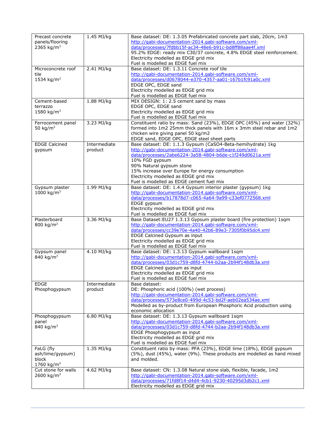| Precast concrete<br>panels/flooring<br>2365 kg/m <sup>3</sup>    | 1.45 MJ/kg              | Base dataset: DE: 1.3.05 Prefabricated concrete part slab, 20cm, 1m3<br>http://gabi-documentation-2014.gabi-software.com/xml-<br>data/processes/7fdbb15f-ac34-48e6-b91c-bd8ff88aae4f.xml<br>95.2% EDGE: ready mix C30/37 concrete, 4.8% EDGE steel reinforcement.<br>Electricity modelled as EDGE grid mix<br>Fuel is modelled as EDGE fuel mix                       |
|------------------------------------------------------------------|-------------------------|-----------------------------------------------------------------------------------------------------------------------------------------------------------------------------------------------------------------------------------------------------------------------------------------------------------------------------------------------------------------------|
| Microconcrete roof<br>tile<br>1534 kg/m <sup>3</sup>             | 2.41 MJ/kg              | Base dataset: DE: 1.3.11 Concrete roof tile<br>http://gabi-documentation-2014.gabi-software.com/xml-<br>data/processes/d0678044-e370-4357-aa01-167b1fc91a0c.xml<br>EDGE OPC, EDGE sand<br>Electricity modelled as EDGE grid mix<br>Fuel is modelled as EDGE fuel mix                                                                                                  |
| Cement-based<br>terrazzo<br>1580 kg/m <sup>3</sup>               | 1.88 MJ/kg              | MIX DESIGN: 1: 2.5 cement sand by mass<br>EDGE OPC, EDGE sand<br>Electricity modelled as EDGE grid mix<br>Fuel is modelled as EDGE fuel mix                                                                                                                                                                                                                           |
| Ferrocement panel<br>50 kg/m <sup>2</sup>                        | 3.23 MJ/kg              | Constituent ratio by mass: Sand (23%), EDGE OPC (45%) and water (32%)<br>formed into 1m2 25mm thick panels with 16m x 3mm steel rebar and 1m2<br>chicken wire giving panel 50 kg/m2<br>EDGE sand, EDGE OPC, EDGE steel sheet parts                                                                                                                                    |
| <b>EDGE Calcined</b><br>gypsum                                   | Intermediate<br>product | Base dataset: DE: 1.1.3 Gypsum (CaSO4-Beta-hemihydrate) 1kg<br>http://gabi-documentation-2014.gabi-software.com/xml-<br>data/processes/2abe6224-3a58-4804-b6de-c1f249d0621a.xml<br>10% FGD gypsum<br>90% Natural gypsum stone<br>15% increase over Europe for energy consumption<br>Electricity modelled as EDGE grid mix<br>Fuel is modelled as EDGE cement fuel mix |
| Gypsum plaster<br>1000 kg/m <sup>3</sup>                         | 1.99 MJ/kg              | Base dataset: DE: 1.4.4 Gypsum interior plaster (gypsum) 1kg<br>http://gabi-documentation-2014.gabi-software.com/xml-<br>data/processes/b17878d7-c065-4a64-9a99-c33ef0772568.xml<br>EDGE gypsum<br>Electricity modelled as EDGE grid mix<br>Fuel is modelled as EDGE fuel mix                                                                                         |
| Plasterboard<br>800 kg/m <sup>3</sup>                            | 3.36 MJ/kg              | Base Dataset: EU27 1.3.13 Gypsum plaster board (fire protection) 1sqm<br>http://gabi-documentation-2014.gabi-software.com/xml-<br>data/processes/cc39e70e-4a40-42b6-89e3-7305f0b95dc4.xml<br>EDGE Calcined Gypsum as input<br>Electricity modelled as EDGE grid mix<br>Fuel is modelled as EDGE fuel mix                                                              |
| Gypsum panel<br>840 kg/m <sup>3</sup>                            | 4.10 MJ/kg              | Base dataset: DE: 1.3.13 Gypsum wallboard 1sqm<br>http://gabi-documentation-2014.gabi-software.com/xml-<br>data/processes/03d1c759-d8fd-4744-b2aa-2b94f148db3a.xml<br>EDGE Calcined gypsum as input<br>Electricity modelled as EDGE grid mix<br>Fuel is modelled as EDGE fuel mix                                                                                     |
| <b>EDGE</b><br>Phosphogypsum                                     | Intermediate<br>product | Base dataset:<br>DE: Phosphoric acid (100%) (wet process)<br>http://gabi-documentation-2014.gabi-software.com/xml-<br>data/processes/573e8ce0-499d-4c53-bd2f-aeb02ea534ae.xml<br>Modelled as by-product from European Phosphoric Acid production using<br>economic allocation                                                                                         |
| Phosphogypsum<br>panel<br>840 kg/m <sup>3</sup>                  | 6.80 MJ/kg              | Base dataset: DE: 1.3.13 Gypsum wallboard 1sqm<br>http://gabi-documentation-2014.gabi-software.com/xml-<br>data/processes/03d1c759-d8fd-4744-b2aa-2b94f148db3a.xml<br>EDGE Phosphogypsum as input<br>Electricity modelled as EDGE grid mix<br>Fuel is modelled as EDGE fuel mix                                                                                       |
| FaLG (fly<br>ash/lime/gypsum)<br>block<br>1760 kg/m <sup>3</sup> | 1.35 MJ/kg              | Constituent ratio by mass: PFA (23%), EDGE lime (18%), EDGE gypsum<br>(5%), dust (45%), water (9%). These products are modelled as hand mixed<br>and molded.                                                                                                                                                                                                          |
| Cut stone for walls<br>2600 kg/m <sup>3</sup>                    | 4.62 MJ/kg              | Base dataset: CN: 1.3.08 Natural stone slab, flexible, facade, 1m2<br>http://gabi-documentation-2014.gabi-software.com/xml-<br>data/processes/71fd8f14-d4d4-4cb1-9230-40295d3db2c1.xml<br>Electricity modelled as EDGE grid mix                                                                                                                                       |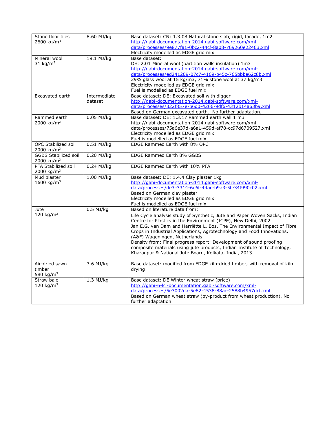| Stone floor tiles<br>2600 kg/m <sup>3</sup>           | 8.60 MJ/kg   | Base dataset: CN: 1.3.08 Natural stone slab, rigid, facade, 1m2<br>http://gabi-documentation-2014.gabi-software.com/xml-                                                                                                                                                                                                                                                                                                                                                                                                                       |
|-------------------------------------------------------|--------------|------------------------------------------------------------------------------------------------------------------------------------------------------------------------------------------------------------------------------------------------------------------------------------------------------------------------------------------------------------------------------------------------------------------------------------------------------------------------------------------------------------------------------------------------|
|                                                       |              | data/processes/9e877fa1-0bc2-44cf-8a08-769260e22463.xml                                                                                                                                                                                                                                                                                                                                                                                                                                                                                        |
|                                                       |              | Electricity modelled as EDGE grid mix                                                                                                                                                                                                                                                                                                                                                                                                                                                                                                          |
| Mineral wool<br>31 kg/ $m3$                           | 19.1 MJ/kg   | Base dataset:<br>DE: 2.01 Mineral wool (partition walls insulation) 1m3<br>http://gabi-documentation-2014.gabi-software.com/xml-<br>data/processes/ed241209-07c7-4169-b45c-765bbbe62c8b.xml<br>29% glass wool at 15 kg/m3, 71% stone wool at 37 kg/m3<br>Electricity modelled as EDGE grid mix<br>Fuel is modelled as EDGE fuel mix                                                                                                                                                                                                            |
| Excavated earth                                       | Intermediate | Base dataset: DE: Excavated soil with digger                                                                                                                                                                                                                                                                                                                                                                                                                                                                                                   |
|                                                       | dataset      | http://gabi-documentation-2014.gabi-software.com/xml-<br>data/processes/322f857e-b6d0-4266-9df6-4312b14a63b9.xml<br>Based on German excavated earth. No further adaptation.                                                                                                                                                                                                                                                                                                                                                                    |
| Rammed earth                                          | 0.05 MJ/kg   | Base dataset: DE: 1.3.17 Rammed earth wall 1 m3                                                                                                                                                                                                                                                                                                                                                                                                                                                                                                |
| 2000 kg/m <sup>3</sup>                                |              | http://gabi-documentation-2014.gabi-software.com/xml-                                                                                                                                                                                                                                                                                                                                                                                                                                                                                          |
|                                                       |              | data/processes/75a6e37d-a6a1-459d-af78-cc97d6709527.xml                                                                                                                                                                                                                                                                                                                                                                                                                                                                                        |
|                                                       |              | Electricity modelled as EDGE grid mix<br>Fuel is modelled as EDGE fuel mix                                                                                                                                                                                                                                                                                                                                                                                                                                                                     |
| <b>OPC Stabilized soil</b><br>2000 kg/m <sup>3</sup>  | 0.51 MJ/kg   | EDGE Rammed Earth with 8% OPC                                                                                                                                                                                                                                                                                                                                                                                                                                                                                                                  |
| <b>GGBS Stabilized soil</b><br>2000 kg/m <sup>3</sup> | $0.20$ MJ/kg | EDGE Rammed Earth 8% GGBS                                                                                                                                                                                                                                                                                                                                                                                                                                                                                                                      |
| PFA Stabilized soil<br>2000 kg/m <sup>3</sup>         | $0.24$ MJ/kg | EDGE Rammed Earth with 10% PFA                                                                                                                                                                                                                                                                                                                                                                                                                                                                                                                 |
| Mud plaster                                           | 1.00 MJ/kg   | Base dataset: DE: 1.4.4 Clay plaster 1kg                                                                                                                                                                                                                                                                                                                                                                                                                                                                                                       |
| 1600 kg/m <sup>3</sup>                                |              | http://gabi-documentation-2014.gabi-software.com/xml-                                                                                                                                                                                                                                                                                                                                                                                                                                                                                          |
|                                                       |              | data/processes/de3c3314-6e6f-44ac-b9a3-5fe34f990c02.xml                                                                                                                                                                                                                                                                                                                                                                                                                                                                                        |
|                                                       |              | Based on German clay plaster<br>Electricity modelled as EDGE grid mix                                                                                                                                                                                                                                                                                                                                                                                                                                                                          |
|                                                       |              | Fuel is modelled as EDGE fuel mix                                                                                                                                                                                                                                                                                                                                                                                                                                                                                                              |
| Jute                                                  | $0.5$ MJ/kg  | Based on literature data from:                                                                                                                                                                                                                                                                                                                                                                                                                                                                                                                 |
| 120 $kg/m3$                                           |              | Life Cycle analysis study of Synthetic, Jute and Paper Woven Sacks, Indian<br>Centre for Plastics in the Environment (ICPE), New Delhi, 2002<br>Jan E.G. van Dam and Harriëtte L. Bos, The Environmental Impact of Fibre<br>Crops in Industrial Applications, Agrotechnology and Food Innovations,<br>(A&F) Wageningen, Netherlands<br>Density from: Final progress report: Development of sound proofing<br>composite materials using jute products, Indian Institute of Technology,<br>Kharagpur & National Jute Board, Kolkata, India, 2013 |
| Air-dried sawn                                        | 3.6 MJ/kg    | Base dataset: modified from EDGE kiln-dried timber, with removal of kiln                                                                                                                                                                                                                                                                                                                                                                                                                                                                       |
| timber<br>580 kg/m <sup>3</sup>                       |              | drying                                                                                                                                                                                                                                                                                                                                                                                                                                                                                                                                         |
| Straw bale                                            | $1.3$ MJ/kg  | Base dataset: DE Winter wheat straw (price)                                                                                                                                                                                                                                                                                                                                                                                                                                                                                                    |
| 120 kg/m <sup>3</sup>                                 |              | http://gabi-6-lci-documentation.gabi-software.com/xml-                                                                                                                                                                                                                                                                                                                                                                                                                                                                                         |
|                                                       |              | data/processes/5e3002da-5e82-4538-88ac-2588b4957dcf.xml                                                                                                                                                                                                                                                                                                                                                                                                                                                                                        |
|                                                       |              | Based on German wheat straw (by-product from wheat production). No<br>further adaptation.                                                                                                                                                                                                                                                                                                                                                                                                                                                      |